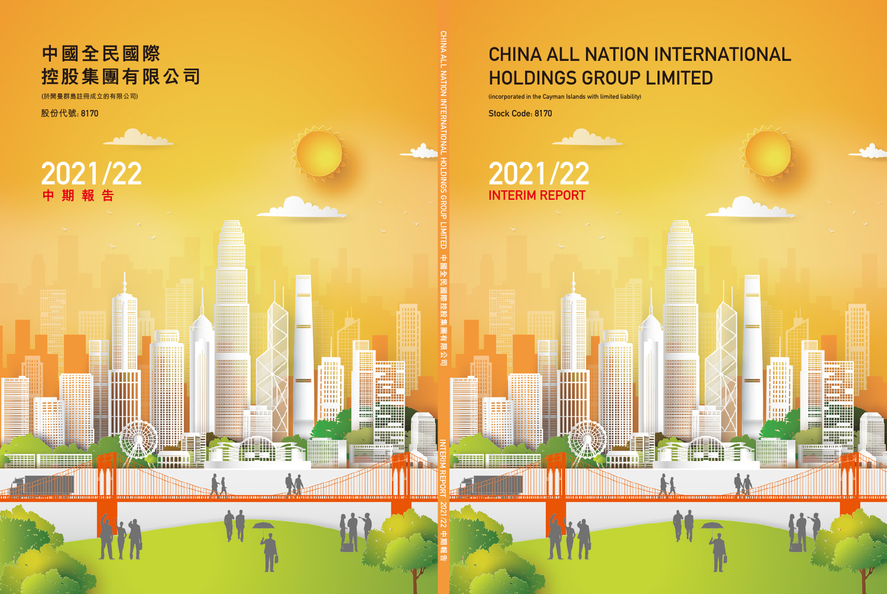# CHINA ALL NATION INTERNATIONAL HOLDINGS GROUP LIMITED

₩

(incorporated in the Cayman Islands with limited liability)

Stock Code: 8170

# INTERIM REPORT 2021/22 2021/22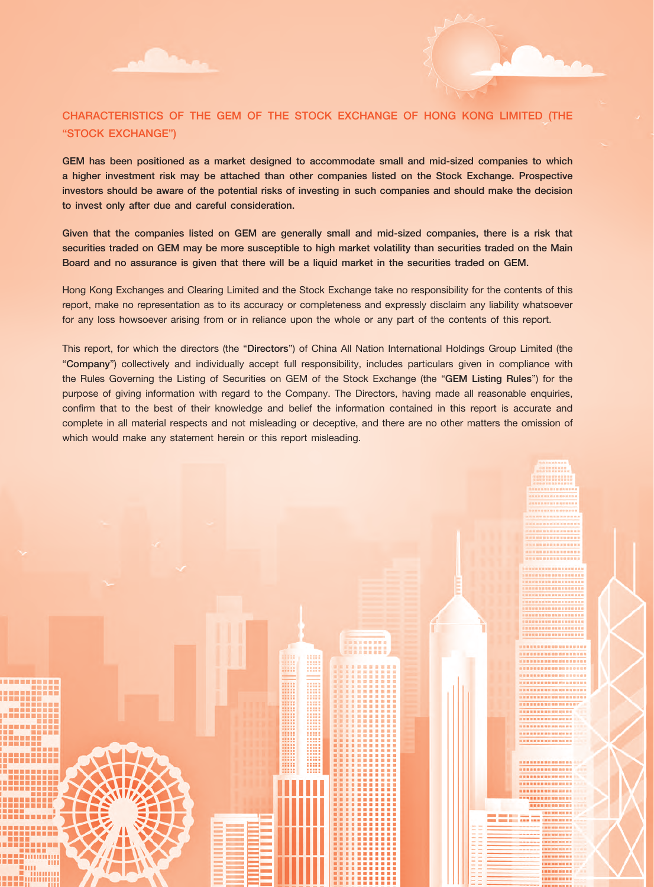

# CHARACTERISTICS OF THE GEM OF THE STOCK EXCHANGE OF HONG KONG LIMITED (THE "STOCK EXCHANGE")

GEM has been positioned as a market designed to accommodate small and mid-sized companies to which a higher investment risk may be attached than other companies listed on the Stock Exchange. Prospective investors should be aware of the potential risks of investing in such companies and should make the decision to invest only after due and careful consideration.

Given that the companies listed on GEM are generally small and mid-sized companies, there is a risk that securities traded on GEM may be more susceptible to high market volatility than securities traded on the Main Board and no assurance is given that there will be a liquid market in the securities traded on GEM.

Hong Kong Exchanges and Clearing Limited and the Stock Exchange take no responsibility for the contents of this report, make no representation as to its accuracy or completeness and expressly disclaim any liability whatsoever for any loss howsoever arising from or in reliance upon the whole or any part of the contents of this report.

This report, for which the directors (the "Directors") of China All Nation International Holdings Group Limited (the "Company") collectively and individually accept full responsibility, includes particulars given in compliance with the Rules Governing the Listing of Securities on GEM of the Stock Exchange (the "GEM Listing Rules") for the purpose of giving information with regard to the Company. The Directors, having made all reasonable enquiries, confirm that to the best of their knowledge and belief the information contained in this report is accurate and complete in all material respects and not misleading or deceptive, and there are no other matters the omission of which would make any statement herein or this report misleading.

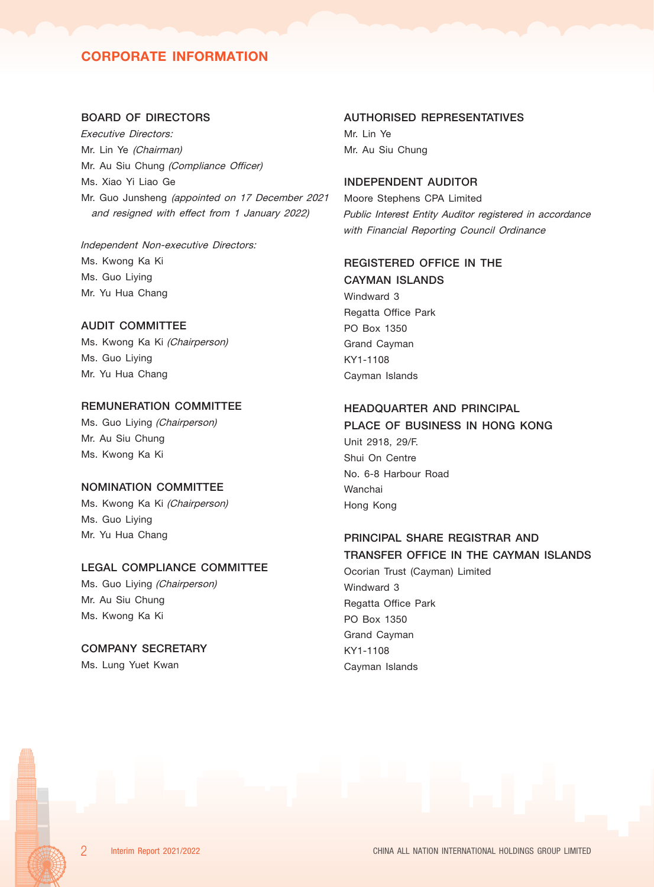# CORPORATE INFORMATION

## BOARD OF DIRECTORS

Executive Directors: Mr. Lin Ye (Chairman) Mr. Au Siu Chung (Compliance Officer) Ms. Xiao Yi Liao Ge Mr. Guo Junsheng (appointed on 17 December 2021 and resigned with effect from 1 January 2022)

## Independent Non-executive Directors: Ms. Kwong Ka Ki Ms. Guo Liying Mr. Yu Hua Chang

## AUDIT COMMITTEE

Ms. Kwong Ka Ki (Chairperson) Ms. Guo Liying Mr. Yu Hua Chang

## REMUNERATION COMMITTEE

Ms. Guo Liying (Chairperson) Mr. Au Siu Chung Ms. Kwong Ka Ki

#### NOMINATION COMMITTEE

Ms. Kwong Ka Ki (Chairperson) Ms. Guo Liying Mr. Yu Hua Chang

#### LEGAL COMPLIANCE COMMITTEE

Ms. Guo Liying (Chairperson) Mr. Au Siu Chung Ms. Kwong Ka Ki

## COMPANY SECRETARY

Ms. Lung Yuet Kwan

# AUTHORISED REPRESENTATIVES

Mr. Lin Ye Mr. Au Siu Chung

## INDEPENDENT AUDITOR

Moore Stephens CPA Limited Public Interest Entity Auditor registered in accordance with Financial Reporting Council Ordinance

## REGISTERED OFFICE IN THE CAYMAN ISLANDS

Windward 3 Regatta Office Park PO Box 1350 Grand Cayman KY1-1108 Cayman Islands

## HEADQUARTER AND PRINCIPAL

## PLACE OF BUSINESS IN HONG KONG

Unit 2918, 29/F. Shui On Centre No. 6-8 Harbour Road Wanchai Hong Kong

## PRINCIPAL SHARE REGISTRAR AND TRANSFER OFFICE IN THE CAYMAN ISLANDS

Ocorian Trust (Cayman) Limited Windward 3 Regatta Office Park PO Box 1350 Grand Cayman KY1-1108 Cayman Islands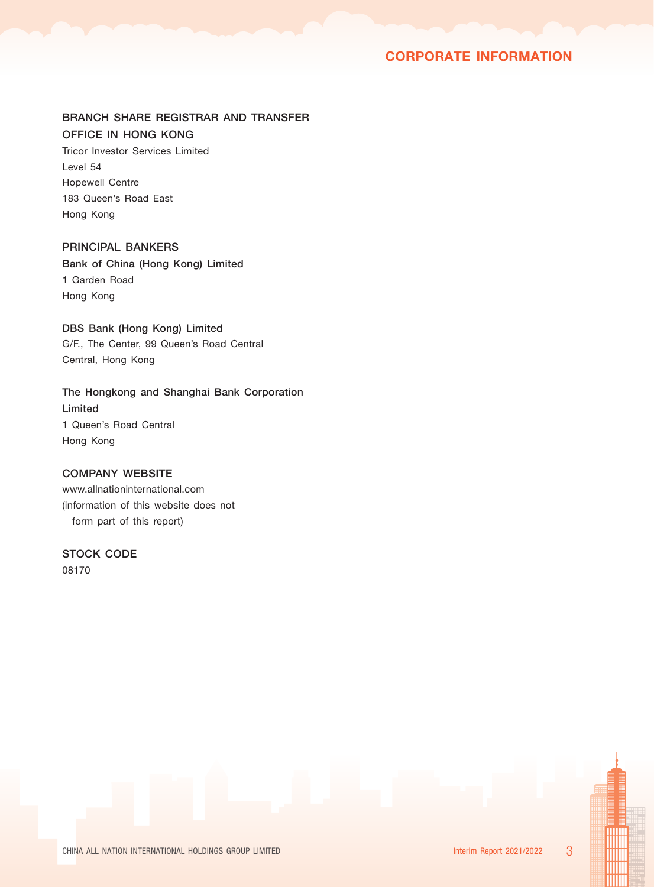# CORPORATE INFORMATION

## BRANCH SHARE REGISTRAR AND TRANSFER OFFICE IN HONG KONG

Tricor Investor Services Limited Level 54 Hopewell Centre 183 Queen's Road East Hong Kong

## PRINCIPAL BANKERS

Bank of China (Hong Kong) Limited 1 Garden Road Hong Kong

## DBS Bank (Hong Kong) Limited

G/F., The Center, 99 Queen's Road Central Central, Hong Kong

The Hongkong and Shanghai Bank Corporation Limited 1 Queen's Road Central Hong Kong

# COMPANY WEBSITE

www.allnationinternational.com (information of this website does not form part of this report)

## STOCK CODE

08170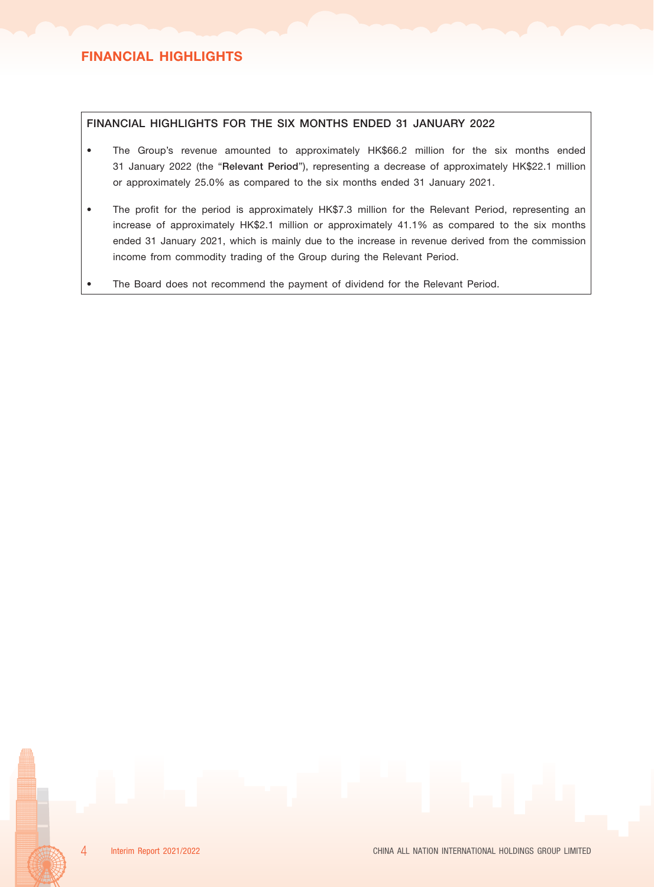## FINANCIAL HIGHLIGHTS FOR THE SIX MONTHS ENDED 31 JANUARY 2022

- The Group's revenue amounted to approximately HK\$66.2 million for the six months ended 31 January 2022 (the "Relevant Period"), representing a decrease of approximately HK\$22.1 million or approximately 25.0% as compared to the six months ended 31 January 2021.
- The profit for the period is approximately HK\$7.3 million for the Relevant Period, representing an increase of approximately HK\$2.1 million or approximately 41.1% as compared to the six months ended 31 January 2021, which is mainly due to the increase in revenue derived from the commission income from commodity trading of the Group during the Relevant Period.
- The Board does not recommend the payment of dividend for the Relevant Period.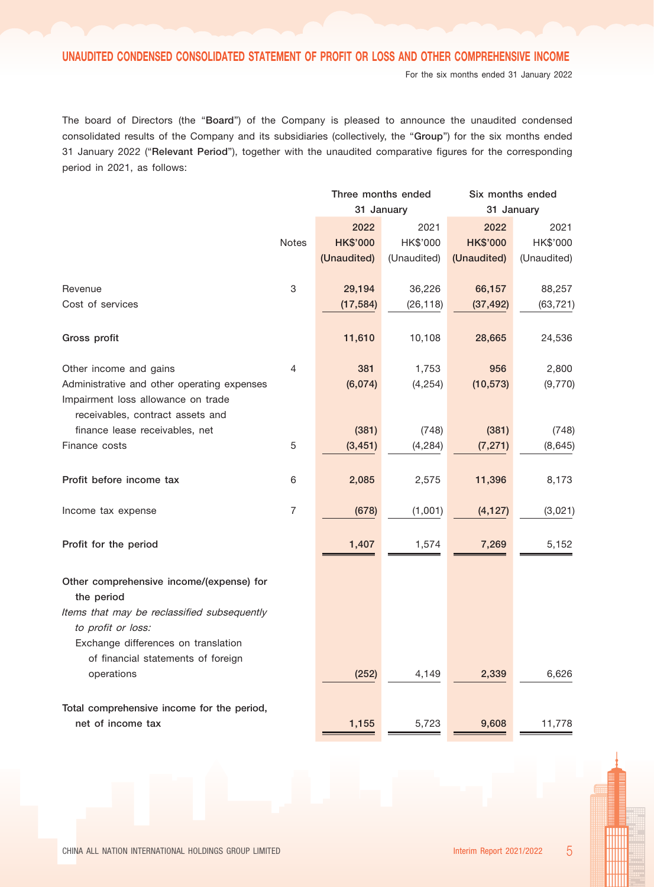For the six months ended 31 January 2022

The board of Directors (the "Board") of the Company is pleased to announce the unaudited condensed consolidated results of the Company and its subsidiaries (collectively, the "Group") for the six months ended 31 January 2022 ("Relevant Period"), together with the unaudited comparative figures for the corresponding period in 2021, as follows:

|                                                                                   |                           | Three months ended |             | Six months ended |             |  |
|-----------------------------------------------------------------------------------|---------------------------|--------------------|-------------|------------------|-------------|--|
|                                                                                   |                           | 31 January         |             | 31 January       |             |  |
|                                                                                   |                           | 2022               | 2021        | 2022             | 2021        |  |
|                                                                                   | <b>Notes</b>              | <b>HK\$'000</b>    | HK\$'000    | <b>HK\$'000</b>  | HK\$'000    |  |
|                                                                                   |                           | (Unaudited)        | (Unaudited) | (Unaudited)      | (Unaudited) |  |
| Revenue                                                                           | $\ensuremath{\mathsf{3}}$ | 29,194             | 36,226      | 66,157           | 88,257      |  |
| Cost of services                                                                  |                           | (17, 584)          | (26, 118)   | (37, 492)        | (63, 721)   |  |
| Gross profit                                                                      |                           | 11,610             | 10,108      | 28,665           | 24,536      |  |
| Other income and gains                                                            | 4                         | 381                | 1,753       | 956              | 2,800       |  |
| Administrative and other operating expenses<br>Impairment loss allowance on trade |                           | (6,074)            | (4, 254)    | (10, 573)        | (9,770)     |  |
| receivables, contract assets and<br>finance lease receivables, net                |                           | (381)              | (748)       | (381)            | (748)       |  |
| Finance costs                                                                     | 5                         | (3, 451)           | (4, 284)    | (7, 271)         | (8,645)     |  |
| Profit before income tax                                                          | 6                         | 2,085              | 2,575       | 11,396           | 8,173       |  |
| Income tax expense                                                                | 7                         | (678)              | (1,001)     | (4, 127)         | (3,021)     |  |
| Profit for the period                                                             |                           | 1,407              | 1,574       | 7,269            | 5,152       |  |
| Other comprehensive income/(expense) for                                          |                           |                    |             |                  |             |  |
| the period<br>Items that may be reclassified subsequently                         |                           |                    |             |                  |             |  |
| to profit or loss:                                                                |                           |                    |             |                  |             |  |
| Exchange differences on translation                                               |                           |                    |             |                  |             |  |
| of financial statements of foreign                                                |                           |                    |             |                  |             |  |
| operations                                                                        |                           | (252)              | 4,149       | 2,339            | 6,626       |  |
| Total comprehensive income for the period,                                        |                           |                    |             |                  |             |  |
| net of income tax                                                                 |                           | 1,155              | 5,723       | 9,608            | 11,778      |  |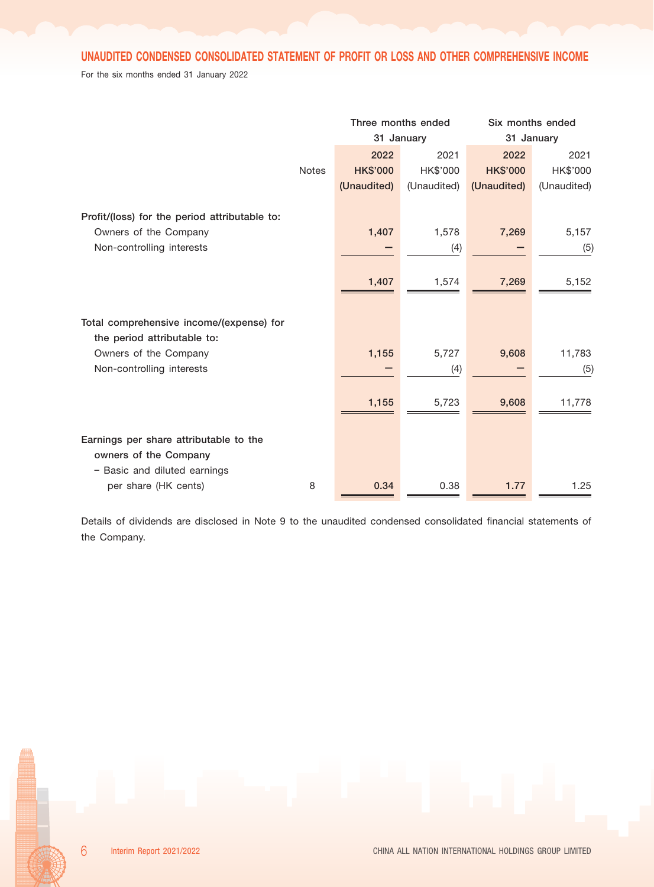# UNAUDITED CONDENSED CONSOLIDATED STATEMENT OF PROFIT OR LOSS AND OTHER COMPREHENSIVE INCOME

For the six months ended 31 January 2022

|                                               |              | Three months ended<br>31 January |             | Six months ended<br>31 January |             |
|-----------------------------------------------|--------------|----------------------------------|-------------|--------------------------------|-------------|
|                                               |              | 2022                             | 2021        | 2022                           | 2021        |
|                                               | <b>Notes</b> | <b>HK\$'000</b>                  | HK\$'000    | <b>HK\$'000</b>                | HK\$'000    |
|                                               |              | (Unaudited)                      | (Unaudited) | (Unaudited)                    | (Unaudited) |
| Profit/(loss) for the period attributable to: |              |                                  |             |                                |             |
| Owners of the Company                         |              | 1,407                            | 1,578       | 7,269                          | 5,157       |
| Non-controlling interests                     |              |                                  | (4)         |                                | (5)         |
|                                               |              |                                  |             |                                |             |
|                                               |              | 1,407                            | 1,574       | 7,269                          | 5,152       |
|                                               |              |                                  |             |                                |             |
| Total comprehensive income/(expense) for      |              |                                  |             |                                |             |
| the period attributable to:                   |              |                                  |             |                                |             |
| Owners of the Company                         |              | 1,155                            | 5,727       | 9,608                          | 11,783      |
| Non-controlling interests                     |              |                                  | (4)         |                                | (5)         |
|                                               |              |                                  |             |                                |             |
|                                               |              | 1,155                            | 5,723       | 9,608                          | 11,778      |
|                                               |              |                                  |             |                                |             |
| Earnings per share attributable to the        |              |                                  |             |                                |             |
| owners of the Company                         |              |                                  |             |                                |             |
| - Basic and diluted earnings                  |              |                                  |             |                                |             |
| per share (HK cents)                          | 8            | 0.34                             | 0.38        | 1.77                           | 1.25        |

Details of dividends are disclosed in Note 9 to the unaudited condensed consolidated financial statements of the Company.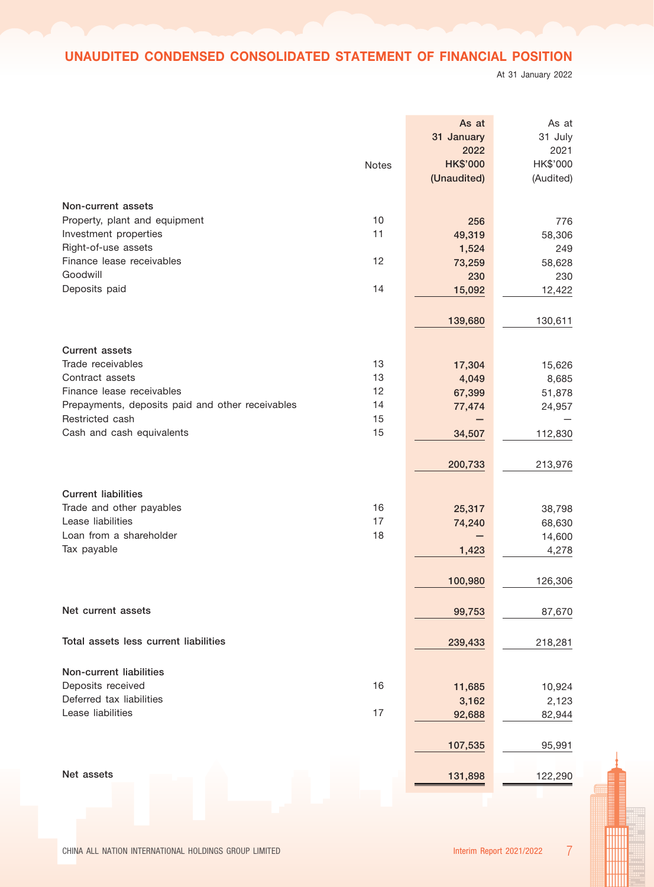# UNAUDITED CONDENSED CONSOLIDATED STATEMENT OF FINANCIAL POSITION

At 31 January 2022

|                                                  |          | As at                   | As at            |
|--------------------------------------------------|----------|-------------------------|------------------|
|                                                  |          | 31 January              | 31 July          |
|                                                  |          | 2022<br><b>HK\$'000</b> | 2021<br>HK\$'000 |
|                                                  | Notes    | (Unaudited)             | (Audited)        |
|                                                  |          |                         |                  |
| Non-current assets                               |          |                         |                  |
| Property, plant and equipment                    | 10       | 256                     | 776              |
| Investment properties                            | 11       | 49,319                  | 58,306           |
| Right-of-use assets                              |          | 1,524                   | 249              |
| Finance lease receivables                        | 12       | 73,259                  | 58,628           |
| Goodwill                                         |          | 230                     | 230              |
| Deposits paid                                    | 14       | 15,092                  | 12,422           |
|                                                  |          |                         |                  |
|                                                  |          | 139,680                 | 130,611          |
| <b>Current assets</b>                            |          |                         |                  |
| Trade receivables                                | 13       | 17,304                  | 15,626           |
| Contract assets                                  | 13       | 4,049                   | 8,685            |
| Finance lease receivables                        | 12       | 67,399                  | 51,878           |
| Prepayments, deposits paid and other receivables | 14       | 77,474                  | 24,957           |
| Restricted cash                                  | 15       |                         |                  |
| Cash and cash equivalents                        | 15       | 34,507                  | 112,830          |
|                                                  |          |                         |                  |
|                                                  |          | 200,733                 | 213,976          |
|                                                  |          |                         |                  |
| <b>Current liabilities</b>                       |          |                         |                  |
| Trade and other payables<br>Lease liabilities    | 16<br>17 | 25,317                  | 38,798           |
| Loan from a shareholder                          | 18       | 74,240                  | 68,630<br>14,600 |
| Tax payable                                      |          | 1,423                   | 4,278            |
|                                                  |          |                         |                  |
|                                                  |          | 100,980                 | 126,306          |
|                                                  |          |                         |                  |
| Net current assets                               |          | 99,753                  | 87,670           |
|                                                  |          |                         |                  |
| Total assets less current liabilities            |          | 239,433                 | 218,281          |
|                                                  |          |                         |                  |
| Non-current liabilities                          |          |                         |                  |
| Deposits received                                | 16       | 11,685                  | 10,924           |
| Deferred tax liabilities                         |          | 3,162                   | 2,123            |
| Lease liabilities                                | 17       | 92,688                  | 82,944           |
|                                                  |          |                         |                  |
|                                                  |          | 107,535                 | 95,991           |
|                                                  |          |                         |                  |
| Net assets                                       |          | 131,898                 | 122,290          |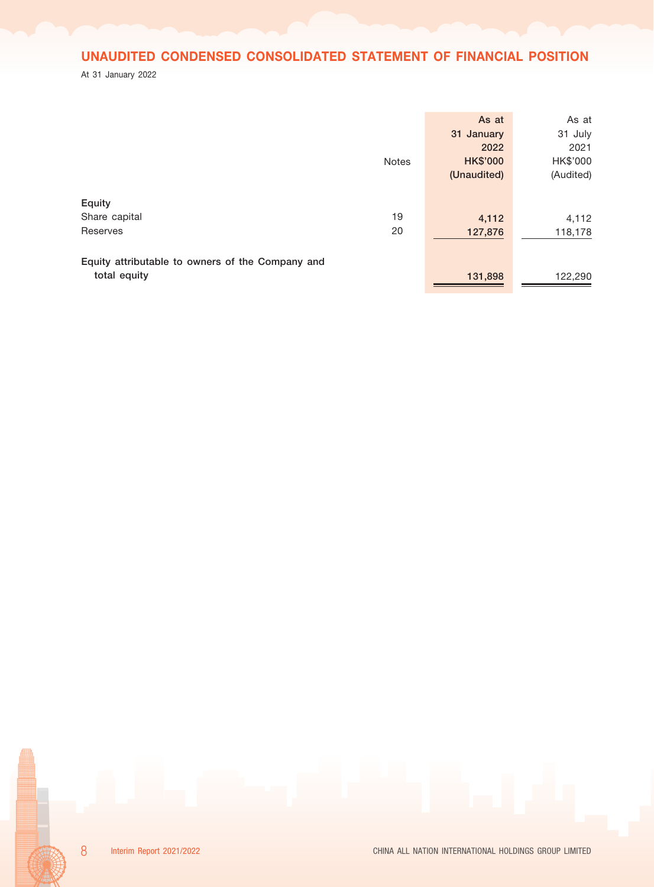# UNAUDITED CONDENSED CONSOLIDATED STATEMENT OF FINANCIAL POSITION

At 31 January 2022

|                                                                  | <b>Notes</b> | As at<br>31 January<br>2022<br><b>HK\$'000</b><br>(Unaudited) | As at<br>31 July<br>2021<br>HK\$'000<br>(Audited) |
|------------------------------------------------------------------|--------------|---------------------------------------------------------------|---------------------------------------------------|
| Equity<br>Share capital<br>Reserves                              | 19<br>20     | 4,112<br>127,876                                              | 4,112<br>118,178                                  |
| Equity attributable to owners of the Company and<br>total equity |              | 131,898                                                       | 122,290                                           |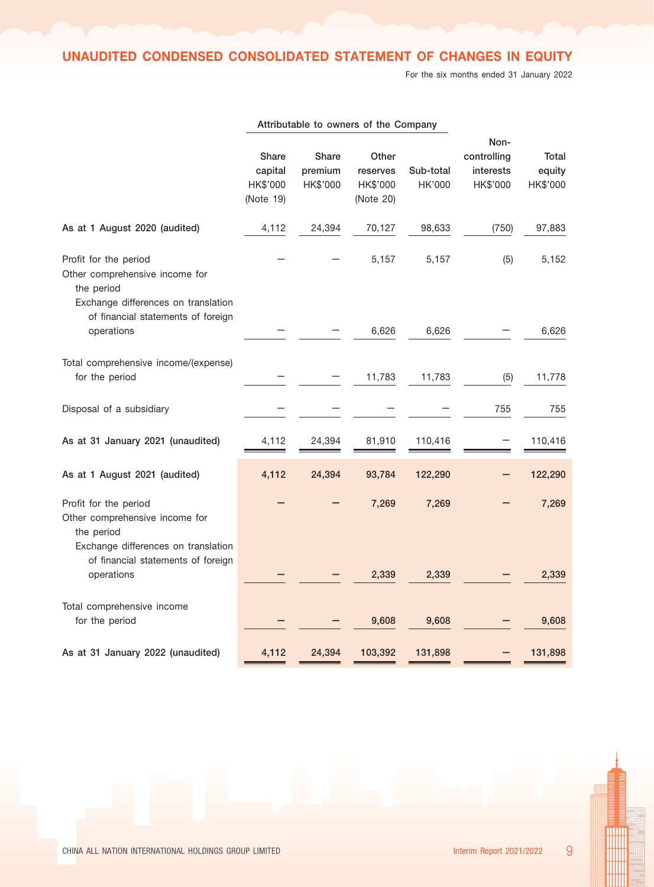UNAUDITED CONDENSED CONSOLIDATED STATEMENT OF CHANGES IN EQUITY

For the six months ended 31 January 2022

|                                                                                                              | Share<br>capital<br>HK\$'000<br>(Note 19) | Share<br>premium<br>HK\$'000 | Other<br>reserves<br>HK\$'000<br>(Note 20) | Sub-total<br>HK'000 | Non-<br>controlling<br>interests<br>HK\$'000 | Total<br>equity<br>HK\$'000 |
|--------------------------------------------------------------------------------------------------------------|-------------------------------------------|------------------------------|--------------------------------------------|---------------------|----------------------------------------------|-----------------------------|
| As at 1 August 2020 (audited)                                                                                | 4,112                                     | 24,394                       | 70,127                                     | 98,633              | (750)                                        | 97,883                      |
| Profit for the period<br>Other comprehensive income for<br>the period<br>Exchange differences on translation |                                           |                              | 5,157                                      | 5,157               | (5)                                          | 5,152                       |
| of financial statements of foreign<br>operations                                                             |                                           |                              | 6,626                                      | 6,626               |                                              | 6,626                       |
| Total comprehensive income/(expense)<br>for the period                                                       |                                           |                              | 11,783                                     | 11,783              | (5)                                          | 11,778                      |
| Disposal of a subsidiary                                                                                     |                                           |                              |                                            |                     | 755                                          | 755                         |
| As at 31 January 2021 (unaudited)                                                                            | 4,112                                     | 24,394                       | 81,910                                     | 110,416             |                                              | 110,416                     |
| As at 1 August 2021 (audited)                                                                                | 4,112                                     | 24,394                       | 93,784                                     | 122,290             |                                              | 122,290                     |
| Profit for the period<br>Other comprehensive income for<br>the period<br>Exchange differences on translation |                                           |                              | 7,269                                      | 7,269               |                                              | 7,269                       |
| of financial statements of foreign<br>operations                                                             |                                           |                              | 2,339                                      | 2,339               |                                              | 2,339                       |
| Total comprehensive income<br>for the period                                                                 |                                           |                              | 9,608                                      | 9,608               |                                              | 9,608                       |
| As at 31 January 2022 (unaudited)                                                                            | 4,112                                     | 24,394                       | 103,392                                    | 131,898             |                                              | 131,898                     |

Attributable to owners of the Company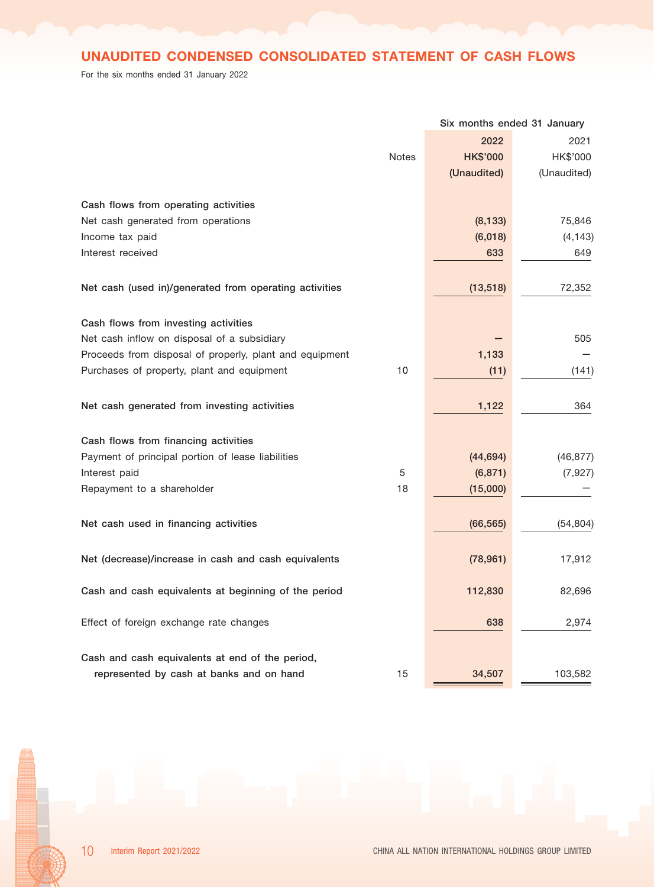# UNAUDITED CONDENSED CONSOLIDATED STATEMENT OF CASH FLOWS

For the six months ended 31 January 2022

|                                                         |              | Six months ended 31 January |             |
|---------------------------------------------------------|--------------|-----------------------------|-------------|
|                                                         |              | 2022                        | 2021        |
|                                                         | <b>Notes</b> | <b>HK\$'000</b>             | HK\$'000    |
|                                                         |              | (Unaudited)                 | (Unaudited) |
| Cash flows from operating activities                    |              |                             |             |
| Net cash generated from operations                      |              | (8, 133)                    | 75,846      |
| Income tax paid                                         |              | (6,018)                     | (4, 143)    |
| Interest received                                       |              | 633                         | 649         |
| Net cash (used in)/generated from operating activities  |              | (13, 518)                   | 72,352      |
|                                                         |              |                             |             |
| Cash flows from investing activities                    |              |                             |             |
| Net cash inflow on disposal of a subsidiary             |              |                             | 505         |
| Proceeds from disposal of properly, plant and equipment |              | 1,133                       |             |
| Purchases of property, plant and equipment              | 10           | (11)                        | (141)       |
|                                                         |              |                             |             |
| Net cash generated from investing activities            |              | 1,122                       | 364         |
| Cash flows from financing activities                    |              |                             |             |
| Payment of principal portion of lease liabilities       |              | (44, 694)                   | (46, 877)   |
| Interest paid                                           | 5            | (6, 871)                    | (7, 927)    |
| Repayment to a shareholder                              | 18           | (15,000)                    |             |
|                                                         |              |                             |             |
| Net cash used in financing activities                   |              | (66, 565)                   | (54, 804)   |
| Net (decrease)/increase in cash and cash equivalents    |              | (78, 961)                   | 17,912      |
|                                                         |              |                             |             |
| Cash and cash equivalents at beginning of the period    |              | 112,830                     | 82,696      |
| Effect of foreign exchange rate changes                 |              | 638                         | 2,974       |
|                                                         |              |                             |             |
| Cash and cash equivalents at end of the period,         |              |                             |             |
| represented by cash at banks and on hand                | 15           | 34,507                      | 103,582     |

10 Interim Report 2021/2022 CHINA ALL NATION INTERNATIONAL HOLDINGS GROUP LIMITED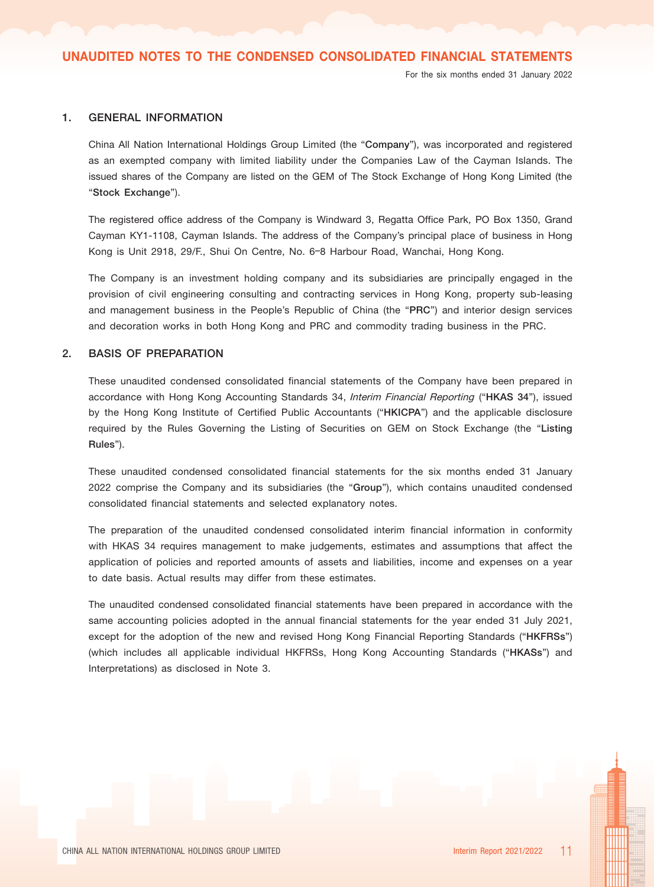#### 1. GENERAL INFORMATION

China All Nation International Holdings Group Limited (the "Company"), was incorporated and registered as an exempted company with limited liability under the Companies Law of the Cayman Islands. The issued shares of the Company are listed on the GEM of The Stock Exchange of Hong Kong Limited (the "Stock Exchange").

The registered office address of the Company is Windward 3, Regatta Office Park, PO Box 1350, Grand Cayman KY1-1108, Cayman Islands. The address of the Company's principal place of business in Hong Kong is Unit 2918, 29/F., Shui On Centre, No. 6–8 Harbour Road, Wanchai, Hong Kong.

The Company is an investment holding company and its subsidiaries are principally engaged in the provision of civil engineering consulting and contracting services in Hong Kong, property sub-leasing and management business in the People's Republic of China (the "PRC") and interior design services and decoration works in both Hong Kong and PRC and commodity trading business in the PRC.

#### 2. BASIS OF PREPARATION

These unaudited condensed consolidated financial statements of the Company have been prepared in accordance with Hong Kong Accounting Standards 34, Interim Financial Reporting ("HKAS 34"), issued by the Hong Kong Institute of Certified Public Accountants ("HKICPA") and the applicable disclosure required by the Rules Governing the Listing of Securities on GEM on Stock Exchange (the "Listing Rules").

These unaudited condensed consolidated financial statements for the six months ended 31 January 2022 comprise the Company and its subsidiaries (the "Group"), which contains unaudited condensed consolidated financial statements and selected explanatory notes.

The preparation of the unaudited condensed consolidated interim financial information in conformity with HKAS 34 requires management to make judgements, estimates and assumptions that affect the application of policies and reported amounts of assets and liabilities, income and expenses on a year to date basis. Actual results may differ from these estimates.

The unaudited condensed consolidated financial statements have been prepared in accordance with the same accounting policies adopted in the annual financial statements for the year ended 31 July 2021, except for the adoption of the new and revised Hong Kong Financial Reporting Standards ("HKFRSs") (which includes all applicable individual HKFRSs, Hong Kong Accounting Standards ("HKASs") and Interpretations) as disclosed in Note 3.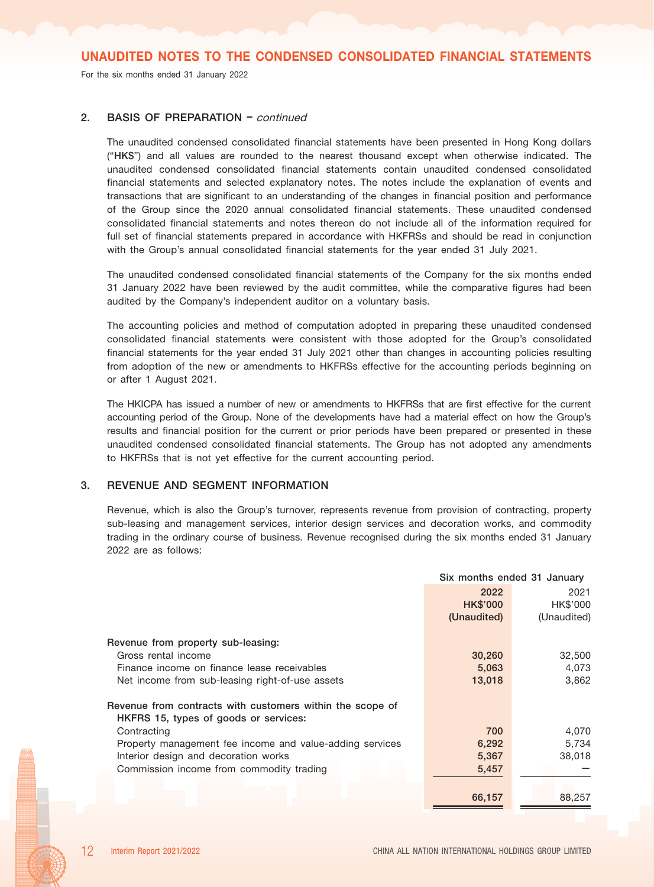For the six months ended 31 January 2022

## 2. BASIS OF PREPARATION - continued

The unaudited condensed consolidated financial statements have been presented in Hong Kong dollars ("HK\$") and all values are rounded to the nearest thousand except when otherwise indicated. The unaudited condensed consolidated financial statements contain unaudited condensed consolidated financial statements and selected explanatory notes. The notes include the explanation of events and transactions that are significant to an understanding of the changes in financial position and performance of the Group since the 2020 annual consolidated financial statements. These unaudited condensed consolidated financial statements and notes thereon do not include all of the information required for full set of financial statements prepared in accordance with HKFRSs and should be read in conjunction with the Group's annual consolidated financial statements for the year ended 31 July 2021.

The unaudited condensed consolidated financial statements of the Company for the six months ended 31 January 2022 have been reviewed by the audit committee, while the comparative figures had been audited by the Company's independent auditor on a voluntary basis.

The accounting policies and method of computation adopted in preparing these unaudited condensed consolidated financial statements were consistent with those adopted for the Group's consolidated financial statements for the year ended 31 July 2021 other than changes in accounting policies resulting from adoption of the new or amendments to HKFRSs effective for the accounting periods beginning on or after 1 August 2021.

The HKICPA has issued a number of new or amendments to HKFRSs that are first effective for the current accounting period of the Group. None of the developments have had a material effect on how the Group's results and financial position for the current or prior periods have been prepared or presented in these unaudited condensed consolidated financial statements. The Group has not adopted any amendments to HKFRSs that is not yet effective for the current accounting period.

## 3. REVENUE AND SEGMENT INFORMATION

Revenue, which is also the Group's turnover, represents revenue from provision of contracting, property sub-leasing and management services, interior design services and decoration works, and commodity trading in the ordinary course of business. Revenue recognised during the six months ended 31 January 2022 are as follows:

|                                                           | Six months ended 31 January |             |  |
|-----------------------------------------------------------|-----------------------------|-------------|--|
|                                                           | 2022                        | 2021        |  |
|                                                           | <b>HK\$'000</b>             | HK\$'000    |  |
|                                                           | (Unaudited)                 | (Unaudited) |  |
| Revenue from property sub-leasing:                        |                             |             |  |
| Gross rental income                                       | 30,260                      | 32,500      |  |
| Finance income on finance lease receivables               | 5,063                       | 4,073       |  |
| Net income from sub-leasing right-of-use assets           | 13,018                      | 3,862       |  |
| Revenue from contracts with customers within the scope of |                             |             |  |
| HKFRS 15, types of goods or services:                     |                             |             |  |
| Contracting                                               | 700                         | 4,070       |  |
| Property management fee income and value-adding services  | 6,292                       | 5,734       |  |
| Interior design and decoration works                      | 5,367                       | 38,018      |  |
| Commission income from commodity trading                  | 5,457                       |             |  |
|                                                           |                             |             |  |
|                                                           | 66,157                      | 88,257      |  |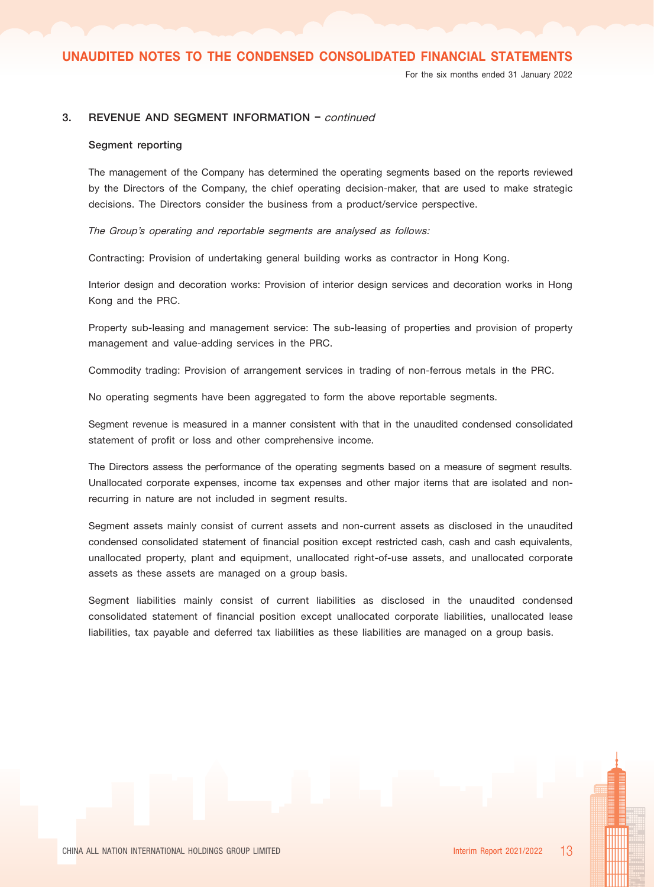For the six months ended 31 January 2022

## 3. REVENUE AND SEGMENT INFORMATION – continued

#### Segment reporting

The management of the Company has determined the operating segments based on the reports reviewed by the Directors of the Company, the chief operating decision-maker, that are used to make strategic decisions. The Directors consider the business from a product/service perspective.

The Group's operating and reportable segments are analysed as follows:

Contracting: Provision of undertaking general building works as contractor in Hong Kong.

Interior design and decoration works: Provision of interior design services and decoration works in Hong Kong and the PRC.

Property sub-leasing and management service: The sub-leasing of properties and provision of property management and value-adding services in the PRC.

Commodity trading: Provision of arrangement services in trading of non-ferrous metals in the PRC.

No operating segments have been aggregated to form the above reportable segments.

Segment revenue is measured in a manner consistent with that in the unaudited condensed consolidated statement of profit or loss and other comprehensive income.

The Directors assess the performance of the operating segments based on a measure of segment results. Unallocated corporate expenses, income tax expenses and other major items that are isolated and nonrecurring in nature are not included in segment results.

Segment assets mainly consist of current assets and non-current assets as disclosed in the unaudited condensed consolidated statement of financial position except restricted cash, cash and cash equivalents, unallocated property, plant and equipment, unallocated right-of-use assets, and unallocated corporate assets as these assets are managed on a group basis.

Segment liabilities mainly consist of current liabilities as disclosed in the unaudited condensed consolidated statement of financial position except unallocated corporate liabilities, unallocated lease liabilities, tax payable and deferred tax liabilities as these liabilities are managed on a group basis.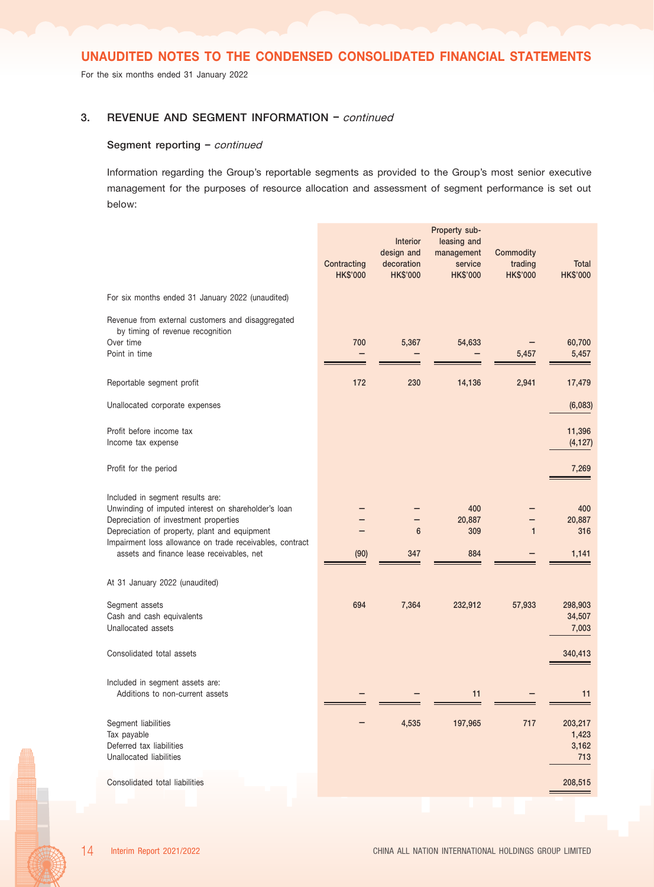For the six months ended 31 January 2022

## 3. REVENUE AND SEGMENT INFORMATION – continued

#### Segment reporting - continued

Information regarding the Group's reportable segments as provided to the Group's most senior executive management for the purposes of resource allocation and assessment of segment performance is set out below:

|                                                                                                                                                                                                                                                                                            | Contracting<br><b>HK\$'000</b> | Interior<br>design and<br>decoration<br><b>HK\$'000</b> | Property sub-<br>leasing and<br>management<br>service<br><b>HK\$'000</b> | Commodity<br>trading<br><b>HK\$'000</b> | <b>Total</b><br><b>HK\$'000</b>  |
|--------------------------------------------------------------------------------------------------------------------------------------------------------------------------------------------------------------------------------------------------------------------------------------------|--------------------------------|---------------------------------------------------------|--------------------------------------------------------------------------|-----------------------------------------|----------------------------------|
| For six months ended 31 January 2022 (unaudited)                                                                                                                                                                                                                                           |                                |                                                         |                                                                          |                                         |                                  |
| Revenue from external customers and disaggregated<br>by timing of revenue recognition<br>Over time<br>Point in time                                                                                                                                                                        | 700                            | 5,367                                                   | 54,633                                                                   | 5,457                                   | 60,700<br>5,457                  |
| Reportable segment profit                                                                                                                                                                                                                                                                  | 172                            | 230                                                     | 14,136                                                                   | 2,941                                   | 17,479                           |
| Unallocated corporate expenses                                                                                                                                                                                                                                                             |                                |                                                         |                                                                          |                                         | (6,083)                          |
| Profit before income tax<br>Income tax expense                                                                                                                                                                                                                                             |                                |                                                         |                                                                          |                                         | 11,396<br>(4, 127)               |
| Profit for the period                                                                                                                                                                                                                                                                      |                                |                                                         |                                                                          |                                         | 7,269                            |
| Included in segment results are:<br>Unwinding of imputed interest on shareholder's loan<br>Depreciation of investment properties<br>Depreciation of property, plant and equipment<br>Impairment loss allowance on trade receivables, contract<br>assets and finance lease receivables, net | (90)                           | $6\phantom{1}$<br>347                                   | 400<br>20,887<br>309<br>884                                              | $\mathbf{1}$                            | 400<br>20,887<br>316<br>1,141    |
| At 31 January 2022 (unaudited)                                                                                                                                                                                                                                                             |                                |                                                         |                                                                          |                                         |                                  |
| Segment assets<br>Cash and cash equivalents<br>Unallocated assets                                                                                                                                                                                                                          | 694                            | 7,364                                                   | 232,912                                                                  | 57,933                                  | 298,903<br>34,507<br>7,003       |
| Consolidated total assets                                                                                                                                                                                                                                                                  |                                |                                                         |                                                                          |                                         | 340,413                          |
| Included in segment assets are:<br>Additions to non-current assets                                                                                                                                                                                                                         |                                |                                                         | 11                                                                       |                                         | 11                               |
| Segment liabilities<br>Tax payable<br>Deferred tax liabilities<br>Unallocated liabilities                                                                                                                                                                                                  |                                | 4,535                                                   | 197,965                                                                  | 717                                     | 203,217<br>1,423<br>3,162<br>713 |
| Consolidated total liabilities                                                                                                                                                                                                                                                             |                                |                                                         |                                                                          |                                         | 208,515                          |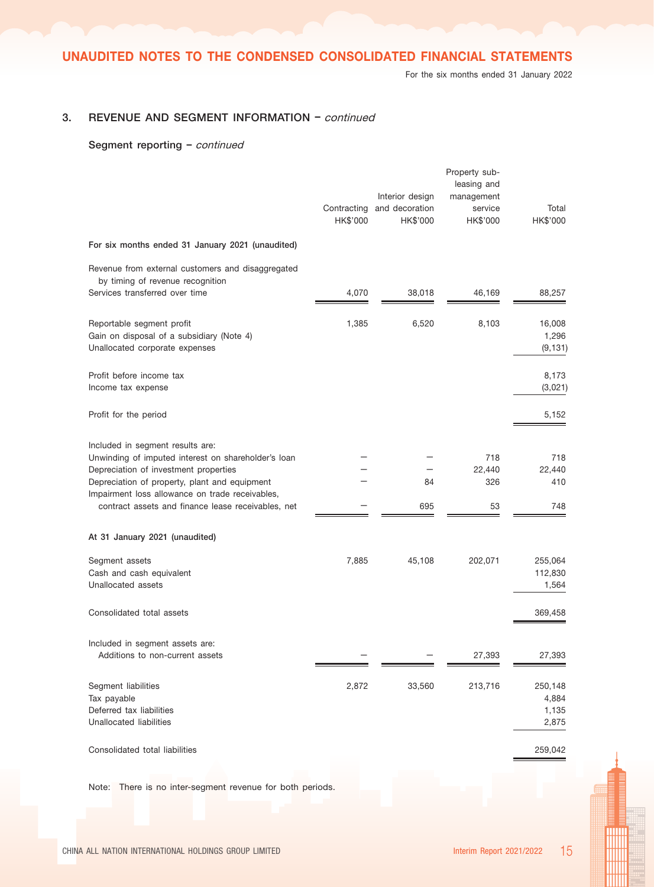For the six months ended 31 January 2022

## 3. REVENUE AND SEGMENT INFORMATION – continued

#### Segment reporting - continued

|                                                                                                                                                                                                                                                                                            | Contracting<br>HK\$'000 | Interior design<br>and decoration<br>HK\$'000 | Property sub-<br>leasing and<br>management<br>service<br>HK\$'000 | Total<br>HK\$'000                  |
|--------------------------------------------------------------------------------------------------------------------------------------------------------------------------------------------------------------------------------------------------------------------------------------------|-------------------------|-----------------------------------------------|-------------------------------------------------------------------|------------------------------------|
| For six months ended 31 January 2021 (unaudited)                                                                                                                                                                                                                                           |                         |                                               |                                                                   |                                    |
| Revenue from external customers and disaggregated<br>by timing of revenue recognition<br>Services transferred over time                                                                                                                                                                    | 4,070                   | 38,018                                        | 46,169                                                            | 88,257                             |
| Reportable segment profit<br>Gain on disposal of a subsidiary (Note 4)<br>Unallocated corporate expenses                                                                                                                                                                                   | 1,385                   | 6,520                                         | 8,103                                                             | 16,008<br>1,296<br>(9, 131)        |
| Profit before income tax<br>Income tax expense                                                                                                                                                                                                                                             |                         |                                               |                                                                   | 8,173<br>(3,021)                   |
| Profit for the period                                                                                                                                                                                                                                                                      |                         |                                               |                                                                   | 5,152                              |
| Included in segment results are:<br>Unwinding of imputed interest on shareholder's loan<br>Depreciation of investment properties<br>Depreciation of property, plant and equipment<br>Impairment loss allowance on trade receivables,<br>contract assets and finance lease receivables, net |                         | 84<br>695                                     | 718<br>22,440<br>326<br>53                                        | 718<br>22,440<br>410<br>748        |
| At 31 January 2021 (unaudited)                                                                                                                                                                                                                                                             |                         |                                               |                                                                   |                                    |
| Segment assets<br>Cash and cash equivalent<br>Unallocated assets                                                                                                                                                                                                                           | 7,885                   | 45,108                                        | 202,071                                                           | 255,064<br>112,830<br>1,564        |
| Consolidated total assets                                                                                                                                                                                                                                                                  |                         |                                               |                                                                   | 369,458                            |
| Included in segment assets are:<br>Additions to non-current assets                                                                                                                                                                                                                         |                         |                                               | 27,393                                                            | 27,393                             |
| Segment liabilities<br>Tax payable<br>Deferred tax liabilities<br>Unallocated liabilities                                                                                                                                                                                                  | 2,872                   | 33,560                                        | 213,716                                                           | 250,148<br>4,884<br>1,135<br>2,875 |
| Consolidated total liabilities                                                                                                                                                                                                                                                             |                         |                                               |                                                                   | 259,042                            |
|                                                                                                                                                                                                                                                                                            |                         |                                               |                                                                   |                                    |

Note: There is no inter-segment revenue for both periods.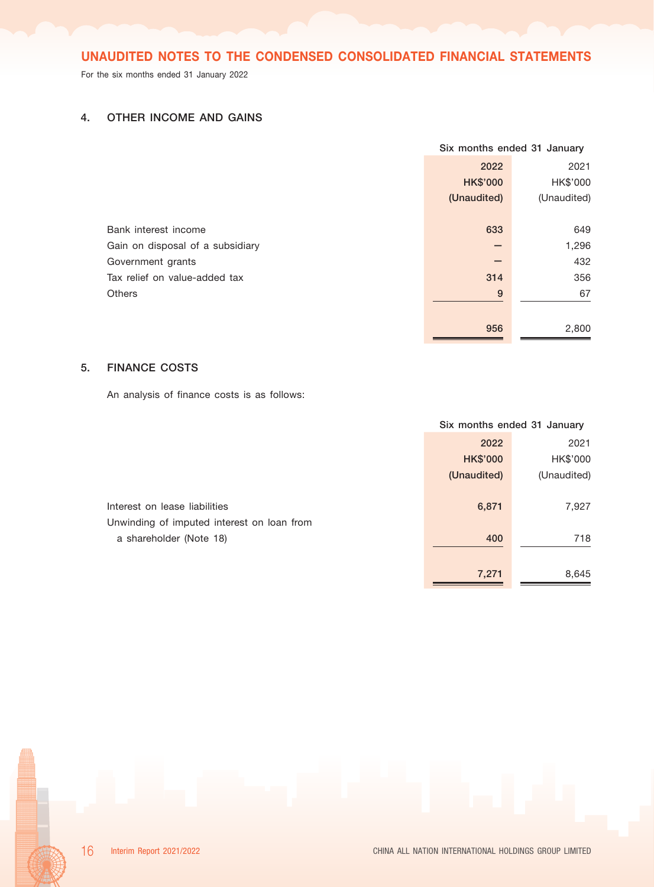For the six months ended 31 January 2022

# 4. OTHER INCOME AND GAINS

|                                  | Six months ended 31 January |             |  |
|----------------------------------|-----------------------------|-------------|--|
|                                  | 2022                        | 2021        |  |
|                                  | <b>HK\$'000</b>             | HK\$'000    |  |
|                                  | (Unaudited)                 | (Unaudited) |  |
|                                  |                             |             |  |
| Bank interest income             | 633                         | 649         |  |
| Gain on disposal of a subsidiary |                             | 1,296       |  |
| Government grants                |                             | 432         |  |
| Tax relief on value-added tax    | 314                         | 356         |  |
| <b>Others</b>                    | 9                           | 67          |  |
|                                  |                             |             |  |
|                                  | 956                         | 2,800       |  |

## 5. FINANCE COSTS

An analysis of finance costs is as follows:

|                                            |                 | Six months ended 31 January |  |  |
|--------------------------------------------|-----------------|-----------------------------|--|--|
|                                            | 2022            | 2021                        |  |  |
|                                            | <b>HK\$'000</b> | HK\$'000                    |  |  |
|                                            | (Unaudited)     | (Unaudited)                 |  |  |
|                                            |                 |                             |  |  |
| Interest on lease liabilities              | 6,871           | 7,927                       |  |  |
| Unwinding of imputed interest on loan from |                 |                             |  |  |
| a shareholder (Note 18)                    | 400             | 718                         |  |  |
|                                            |                 |                             |  |  |
|                                            | 7,271           | 8,645                       |  |  |

 $\blacksquare$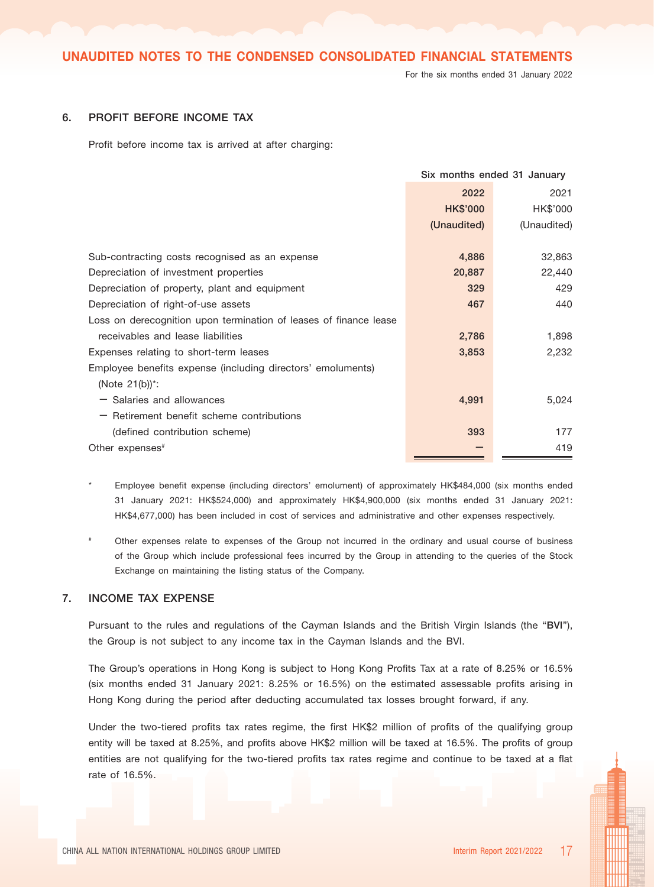For the six months ended 31 January 2022

## 6. PROFIT BEFORE INCOME TAX

Profit before income tax is arrived at after charging:

|                                                                   | Six months ended 31 January |             |
|-------------------------------------------------------------------|-----------------------------|-------------|
|                                                                   | 2022                        | 2021        |
|                                                                   | <b>HK\$'000</b>             | HK\$'000    |
|                                                                   | (Unaudited)                 | (Unaudited) |
|                                                                   |                             |             |
| Sub-contracting costs recognised as an expense                    | 4,886                       | 32,863      |
| Depreciation of investment properties                             | 20,887                      | 22,440      |
| Depreciation of property, plant and equipment                     | 329                         | 429         |
| Depreciation of right-of-use assets                               | 467                         | 440         |
| Loss on derecognition upon termination of leases of finance lease |                             |             |
| receivables and lease liabilities                                 | 2,786                       | 1,898       |
| Expenses relating to short-term leases                            | 3,853                       | 2,232       |
| Employee benefits expense (including directors' emoluments)       |                             |             |
| (Note $21(b)$ ) <sup>*</sup> :                                    |                             |             |
| $-$ Salaries and allowances                                       | 4,991                       | 5,024       |
| $-$ Retirement benefit scheme contributions                       |                             |             |
| (defined contribution scheme)                                     | 393                         | 177         |
| Other expenses <sup>#</sup>                                       |                             | 419         |
|                                                                   |                             |             |

Employee benefit expense (including directors' emolument) of approximately HK\$484,000 (six months ended 31 January 2021: HK\$524,000) and approximately HK\$4,900,000 (six months ended 31 January 2021: HK\$4,677,000) has been included in cost of services and administrative and other expenses respectively.

# Other expenses relate to expenses of the Group not incurred in the ordinary and usual course of business of the Group which include professional fees incurred by the Group in attending to the queries of the Stock Exchange on maintaining the listing status of the Company.

## 7. INCOME TAX EXPENSE

Pursuant to the rules and regulations of the Cayman Islands and the British Virgin Islands (the "BVI"), the Group is not subject to any income tax in the Cayman Islands and the BVI.

The Group's operations in Hong Kong is subject to Hong Kong Profits Tax at a rate of 8.25% or 16.5% (six months ended 31 January 2021: 8.25% or 16.5%) on the estimated assessable profits arising in Hong Kong during the period after deducting accumulated tax losses brought forward, if any.

Under the two-tiered profits tax rates regime, the first HK\$2 million of profits of the qualifying group entity will be taxed at 8.25%, and profits above HK\$2 million will be taxed at 16.5%. The profits of group entities are not qualifying for the two-tiered profits tax rates regime and continue to be taxed at a flat rate of 16.5%.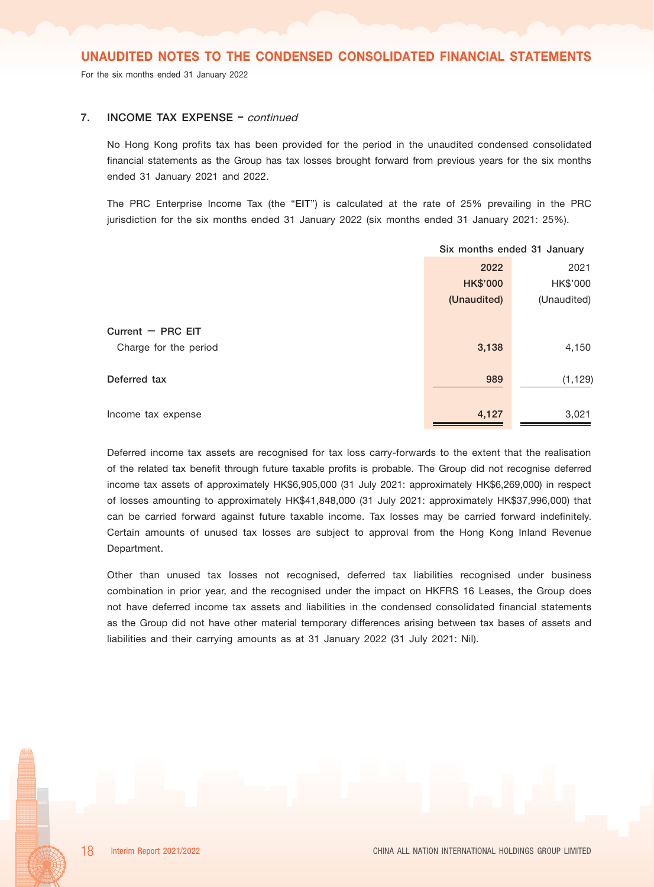For the six months ended 31 January 2022

## 7. **INCOME TAX EXPENSE** - continued

No Hong Kong profits tax has been provided for the period in the unaudited condensed consolidated financial statements as the Group has tax losses brought forward from previous years for the six months ended 31 January 2021 and 2022.

The PRC Enterprise Income Tax (the "EIT") is calculated at the rate of 25% prevailing in the PRC jurisdiction for the six months ended 31 January 2022 (six months ended 31 January 2021: 25%).

|                       | Six months ended 31 January |             |
|-----------------------|-----------------------------|-------------|
|                       | 2022                        | 2021        |
|                       | <b>HK\$'000</b>             | HK\$'000    |
|                       | (Unaudited)                 | (Unaudited) |
|                       |                             |             |
| Current $-$ PRC EIT   |                             |             |
| Charge for the period | 3,138                       | 4,150       |
|                       |                             |             |
| Deferred tax          | 989                         | (1, 129)    |
|                       |                             |             |
| Income tax expense    | 4,127                       | 3,021       |

Deferred income tax assets are recognised for tax loss carry-forwards to the extent that the realisation of the related tax benefit through future taxable profits is probable. The Group did not recognise deferred income tax assets of approximately HK\$6,905,000 (31 July 2021: approximately HK\$6,269,000) in respect of losses amounting to approximately HK\$41,848,000 (31 July 2021: approximately HK\$37,996,000) that can be carried forward against future taxable income. Tax losses may be carried forward indefinitely. Certain amounts of unused tax losses are subject to approval from the Hong Kong Inland Revenue Department.

Other than unused tax losses not recognised, deferred tax liabilities recognised under business combination in prior year, and the recognised under the impact on HKFRS 16 Leases, the Group does not have deferred income tax assets and liabilities in the condensed consolidated financial statements as the Group did not have other material temporary differences arising between tax bases of assets and liabilities and their carrying amounts as at 31 January 2022 (31 July 2021: Nil).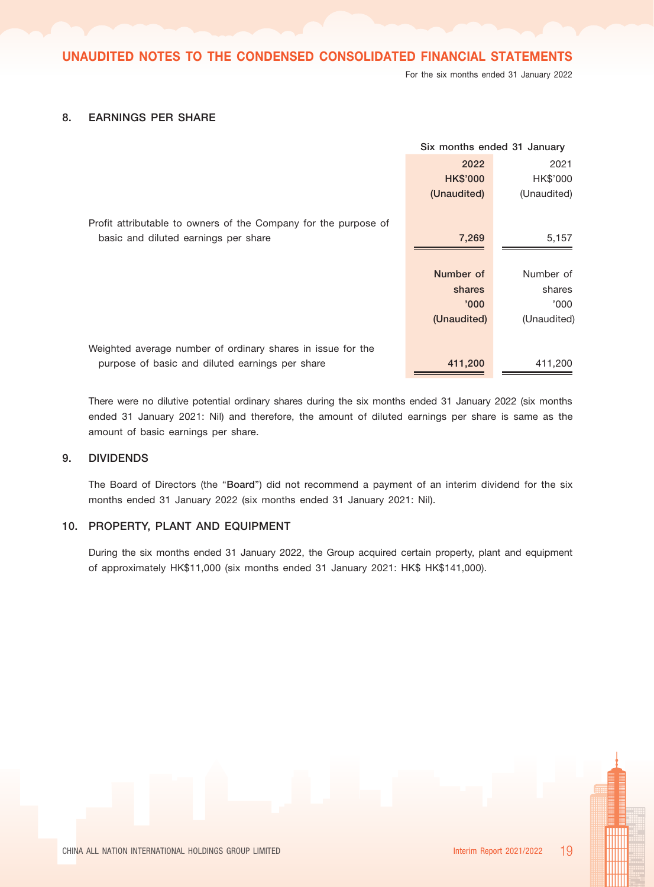For the six months ended 31 January 2022

## 8. EARNINGS PER SHARE

|                                                                 | Six months ended 31 January |             |
|-----------------------------------------------------------------|-----------------------------|-------------|
|                                                                 | 2022                        | 2021        |
|                                                                 | <b>HK\$'000</b>             | HK\$'000    |
|                                                                 | (Unaudited)                 | (Unaudited) |
| Profit attributable to owners of the Company for the purpose of |                             |             |
| basic and diluted earnings per share                            | 7,269                       | 5,157       |
|                                                                 |                             |             |
|                                                                 | Number of                   | Number of   |
|                                                                 | shares                      | shares      |
|                                                                 | '000'                       | '000        |
|                                                                 | (Unaudited)                 | (Unaudited) |
|                                                                 |                             |             |
| Weighted average number of ordinary shares in issue for the     |                             |             |
| purpose of basic and diluted earnings per share                 | 411,200                     | 411,200     |

There were no dilutive potential ordinary shares during the six months ended 31 January 2022 (six months ended 31 January 2021: Nil) and therefore, the amount of diluted earnings per share is same as the amount of basic earnings per share.

## 9. DIVIDENDS

The Board of Directors (the "Board") did not recommend a payment of an interim dividend for the six months ended 31 January 2022 (six months ended 31 January 2021: Nil).

## 10. PROPERTY, PLANT AND EQUIPMENT

During the six months ended 31 January 2022, the Group acquired certain property, plant and equipment of approximately HK\$11,000 (six months ended 31 January 2021: HK\$ HK\$141,000).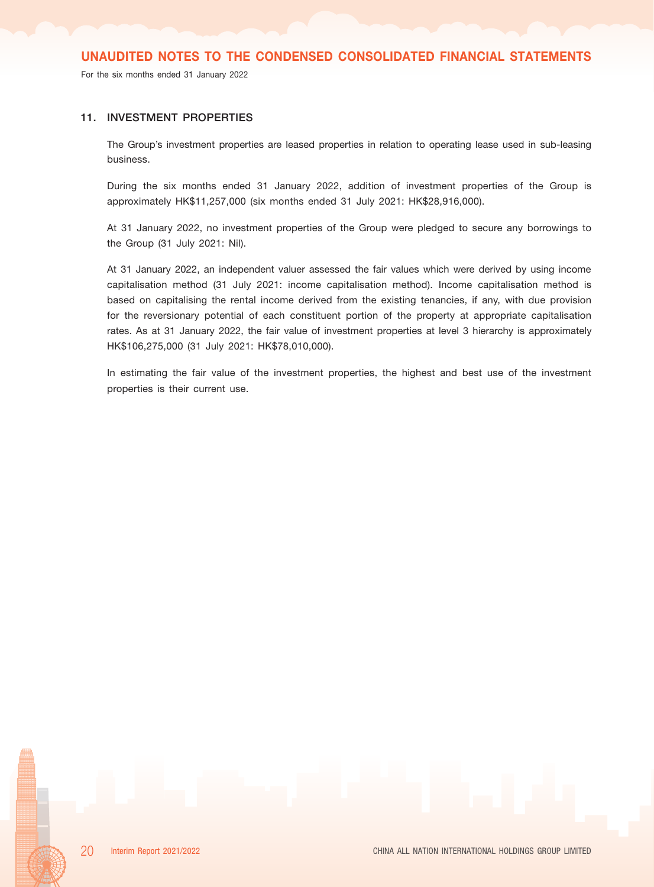For the six months ended 31 January 2022

#### 11. INVESTMENT PROPERTIES

The Group's investment properties are leased properties in relation to operating lease used in sub-leasing business.

During the six months ended 31 January 2022, addition of investment properties of the Group is approximately HK\$11,257,000 (six months ended 31 July 2021: HK\$28,916,000).

At 31 January 2022, no investment properties of the Group were pledged to secure any borrowings to the Group (31 July 2021: Nil).

At 31 January 2022, an independent valuer assessed the fair values which were derived by using income capitalisation method (31 July 2021: income capitalisation method). Income capitalisation method is based on capitalising the rental income derived from the existing tenancies, if any, with due provision for the reversionary potential of each constituent portion of the property at appropriate capitalisation rates. As at 31 January 2022, the fair value of investment properties at level 3 hierarchy is approximately HK\$106,275,000 (31 July 2021: HK\$78,010,000).

In estimating the fair value of the investment properties, the highest and best use of the investment properties is their current use.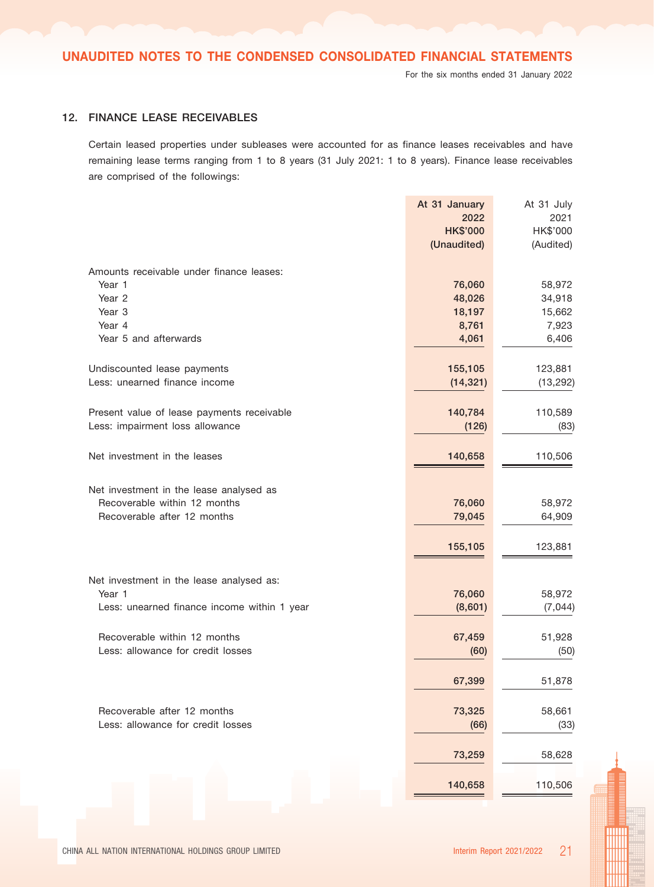## 12. FINANCE LEASE RECEIVABLES

Certain leased properties under subleases were accounted for as finance leases receivables and have remaining lease terms ranging from 1 to 8 years (31 July 2021: 1 to 8 years). Finance lease receivables are comprised of the followings:

|                                             | At 31 January<br>2022 | At 31 July       |
|---------------------------------------------|-----------------------|------------------|
|                                             | <b>HK\$'000</b>       | 2021<br>HK\$'000 |
|                                             | (Unaudited)           | (Audited)        |
|                                             |                       |                  |
| Amounts receivable under finance leases:    |                       |                  |
| Year 1                                      | 76,060                | 58,972           |
| Year <sub>2</sub>                           | 48,026                | 34,918           |
| Year 3                                      | 18,197                | 15,662           |
| Year 4                                      | 8,761                 | 7,923            |
| Year 5 and afterwards                       | 4,061                 | 6,406            |
| Undiscounted lease payments                 | 155,105               | 123,881          |
| Less: unearned finance income               | (14, 321)             | (13, 292)        |
|                                             |                       |                  |
| Present value of lease payments receivable  | 140,784               | 110,589          |
| Less: impairment loss allowance             | (126)                 | (83)             |
|                                             |                       |                  |
| Net investment in the leases                | 140,658               | 110,506          |
| Net investment in the lease analysed as     |                       |                  |
| Recoverable within 12 months                | 76,060                | 58,972           |
| Recoverable after 12 months                 | 79,045                | 64,909           |
|                                             |                       |                  |
|                                             | 155,105               | 123,881          |
|                                             |                       |                  |
| Net investment in the lease analysed as:    |                       |                  |
| Year 1                                      | 76,060                | 58,972           |
| Less: unearned finance income within 1 year | (8,601)               | (7,044)          |
| Recoverable within 12 months                | 67,459                | 51,928           |
| Less: allowance for credit losses           | (60)                  | (50)             |
|                                             |                       |                  |
|                                             | 67,399                | 51,878           |
| Recoverable after 12 months                 | 73,325                | 58,661           |
| Less: allowance for credit losses           | (66)                  | (33)             |
|                                             |                       |                  |
|                                             | 73,259                | 58,628           |
|                                             | 140,658               | 110,506          |
|                                             |                       |                  |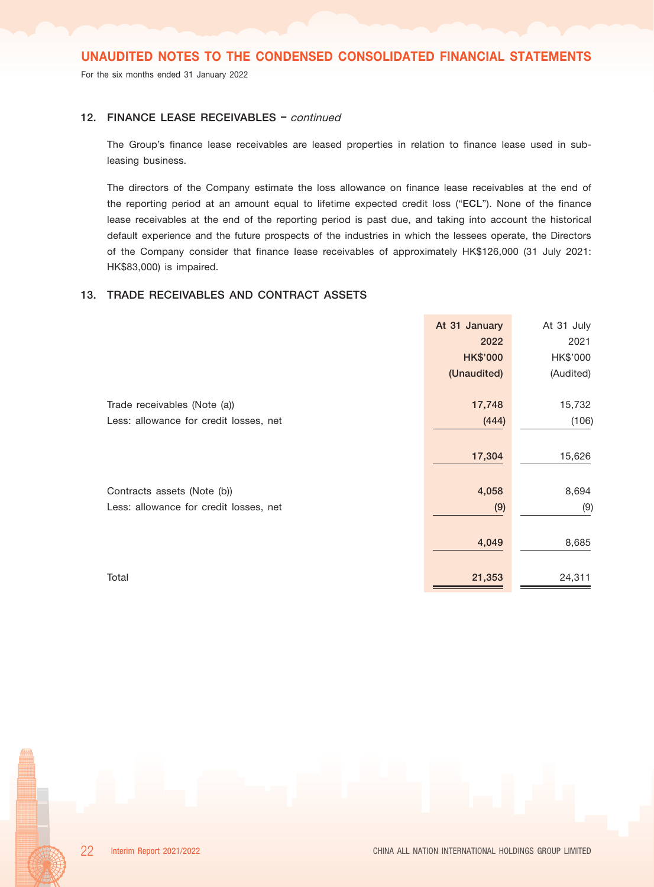For the six months ended 31 January 2022

## 12. FINANCE LEASE RECEIVABLES - continued

The Group's finance lease receivables are leased properties in relation to finance lease used in subleasing business.

The directors of the Company estimate the loss allowance on finance lease receivables at the end of the reporting period at an amount equal to lifetime expected credit loss ("ECL"). None of the finance lease receivables at the end of the reporting period is past due, and taking into account the historical default experience and the future prospects of the industries in which the lessees operate, the Directors of the Company consider that finance lease receivables of approximately HK\$126,000 (31 July 2021: HK\$83,000) is impaired.

## 13. TRADE RECEIVABLES AND CONTRACT ASSETS

|                                        | At 31 January   | At 31 July |
|----------------------------------------|-----------------|------------|
|                                        | 2022            | 2021       |
|                                        | <b>HK\$'000</b> | HK\$'000   |
|                                        | (Unaudited)     | (Audited)  |
| Trade receivables (Note (a))           | 17,748          | 15,732     |
| Less: allowance for credit losses, net | (444)           | (106)      |
|                                        | 17,304          | 15,626     |
| Contracts assets (Note (b))            | 4,058           | 8,694      |
| Less: allowance for credit losses, net | (9)             | (9)        |
|                                        | 4,049           | 8,685      |
| Total                                  | 21,353          | 24,311     |

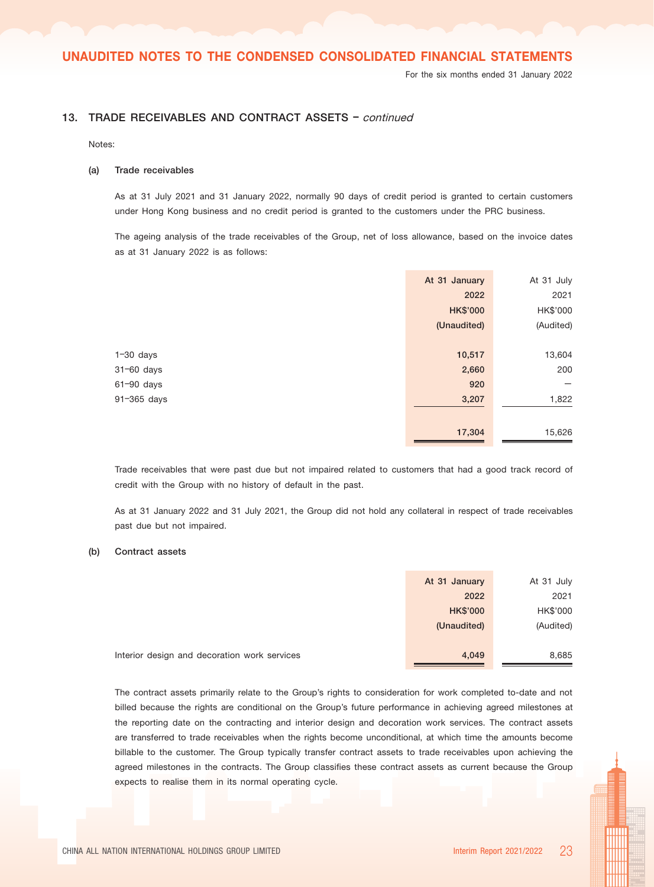For the six months ended 31 January 2022

## 13. TRADE RECEIVABLES AND CONTRACT ASSETS - continued

Notes:

#### (a) Trade receivables

As at 31 July 2021 and 31 January 2022, normally 90 days of credit period is granted to certain customers under Hong Kong business and no credit period is granted to the customers under the PRC business.

The ageing analysis of the trade receivables of the Group, net of loss allowance, based on the invoice dates as at 31 January 2022 is as follows:

|                | At 31 January   | At 31 July |
|----------------|-----------------|------------|
|                | 2022            | 2021       |
|                | <b>HK\$'000</b> | HK\$'000   |
|                | (Unaudited)     | (Audited)  |
|                |                 |            |
| $1-30$ days    | 10,517          | 13,604     |
| 31-60 days     | 2,660           | 200        |
| $61 - 90$ days | 920             |            |
| 91-365 days    | 3,207           | 1,822      |
|                |                 |            |
|                | 17,304          | 15,626     |

Trade receivables that were past due but not impaired related to customers that had a good track record of credit with the Group with no history of default in the past.

As at 31 January 2022 and 31 July 2021, the Group did not hold any collateral in respect of trade receivables past due but not impaired.

#### (b) Contract assets

|                                              | At 31 January   | At 31 July |
|----------------------------------------------|-----------------|------------|
|                                              | 2022            | 2021       |
|                                              | <b>HK\$'000</b> | HK\$'000   |
|                                              | (Unaudited)     | (Audited)  |
|                                              |                 |            |
| Interior design and decoration work services | 4,049           | 8,685      |

The contract assets primarily relate to the Group's rights to consideration for work completed to-date and not billed because the rights are conditional on the Group's future performance in achieving agreed milestones at the reporting date on the contracting and interior design and decoration work services. The contract assets are transferred to trade receivables when the rights become unconditional, at which time the amounts become billable to the customer. The Group typically transfer contract assets to trade receivables upon achieving the agreed milestones in the contracts. The Group classifies these contract assets as current because the Group expects to realise them in its normal operating cycle.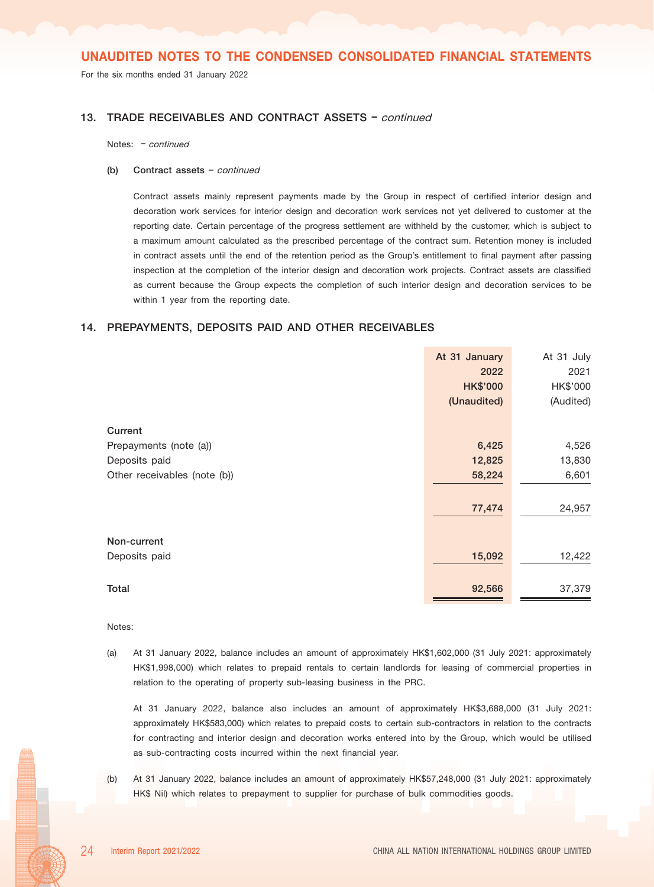For the six months ended 31 January 2022

#### 13. TRADE RECEIVABLES AND CONTRACT ASSETS - continued

Notes: – continued

#### (b) Contract assets  $-$  continued

Contract assets mainly represent payments made by the Group in respect of certified interior design and decoration work services for interior design and decoration work services not yet delivered to customer at the reporting date. Certain percentage of the progress settlement are withheld by the customer, which is subject to a maximum amount calculated as the prescribed percentage of the contract sum. Retention money is included in contract assets until the end of the retention period as the Group's entitlement to final payment after passing inspection at the completion of the interior design and decoration work projects. Contract assets are classified as current because the Group expects the completion of such interior design and decoration services to be within 1 year from the reporting date.

#### 14. PREPAYMENTS, DEPOSITS PAID AND OTHER RECEIVABLES

| At 31 January   | At 31 July |
|-----------------|------------|
| 2022            | 2021       |
| <b>HK\$'000</b> | HK\$'000   |
| (Unaudited)     | (Audited)  |
|                 |            |
| 6,425           | 4,526      |
| 12,825          | 13,830     |
| 58,224          | 6,601      |
| 77,474          | 24,957     |
|                 |            |
| 15,092          | 12,422     |
| 92,566          | 37,379     |
|                 |            |

#### Notes:

(a) At 31 January 2022, balance includes an amount of approximately HK\$1,602,000 (31 July 2021: approximately HK\$1,998,000) which relates to prepaid rentals to certain landlords for leasing of commercial properties in relation to the operating of property sub-leasing business in the PRC.

At 31 January 2022, balance also includes an amount of approximately HK\$3,688,000 (31 July 2021: approximately HK\$583,000) which relates to prepaid costs to certain sub-contractors in relation to the contracts for contracting and interior design and decoration works entered into by the Group, which would be utilised as sub-contracting costs incurred within the next financial year.

(b) At 31 January 2022, balance includes an amount of approximately HK\$57,248,000 (31 July 2021: approximately HK\$ Nil) which relates to prepayment to supplier for purchase of bulk commodities goods.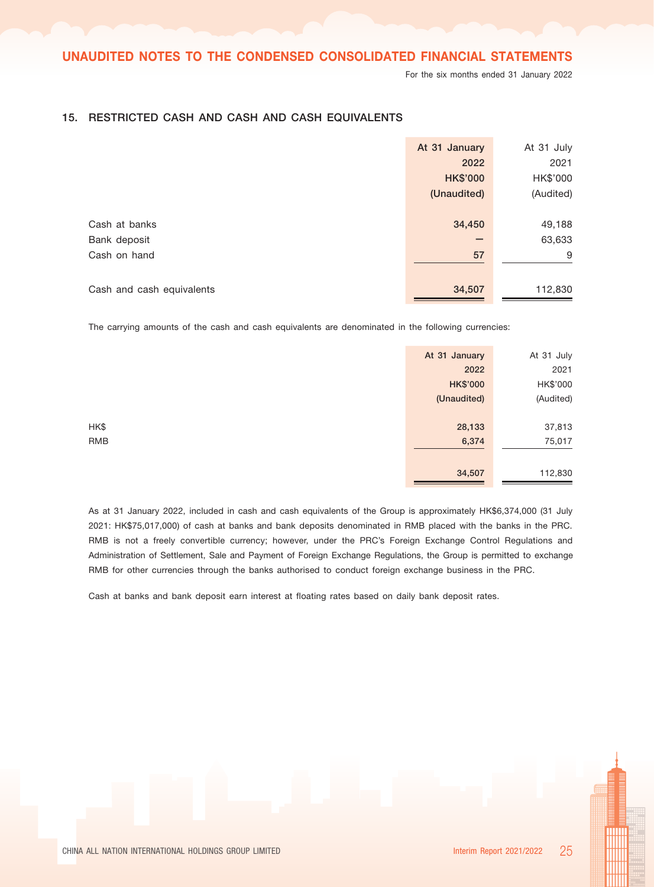For the six months ended 31 January 2022

|                           | At 31 January   | At 31 July |
|---------------------------|-----------------|------------|
|                           | 2022            | 2021       |
|                           | <b>HK\$'000</b> | HK\$'000   |
|                           | (Unaudited)     | (Audited)  |
|                           |                 |            |
| Cash at banks             | 34,450          | 49,188     |
| Bank deposit              | -               | 63,633     |
| Cash on hand              | 57              | 9          |
|                           |                 |            |
| Cash and cash equivalents | 34,507          | 112,830    |

## 15. RESTRICTED CASH AND CASH AND CASH EQUIVALENTS

The carrying amounts of the cash and cash equivalents are denominated in the following currencies:

|      | At 31 January   | At 31 July |
|------|-----------------|------------|
|      | 2022            | 2021       |
|      | <b>HK\$'000</b> | HK\$'000   |
|      | (Unaudited)     | (Audited)  |
|      |                 |            |
| HK\$ | 28,133          | 37,813     |
| RMB  | 6,374           | 75,017     |
|      |                 |            |
|      | 34,507          | 112,830    |

As at 31 January 2022, included in cash and cash equivalents of the Group is approximately HK\$6,374,000 (31 July 2021: HK\$75,017,000) of cash at banks and bank deposits denominated in RMB placed with the banks in the PRC. RMB is not a freely convertible currency; however, under the PRC's Foreign Exchange Control Regulations and Administration of Settlement, Sale and Payment of Foreign Exchange Regulations, the Group is permitted to exchange RMB for other currencies through the banks authorised to conduct foreign exchange business in the PRC.

Cash at banks and bank deposit earn interest at floating rates based on daily bank deposit rates.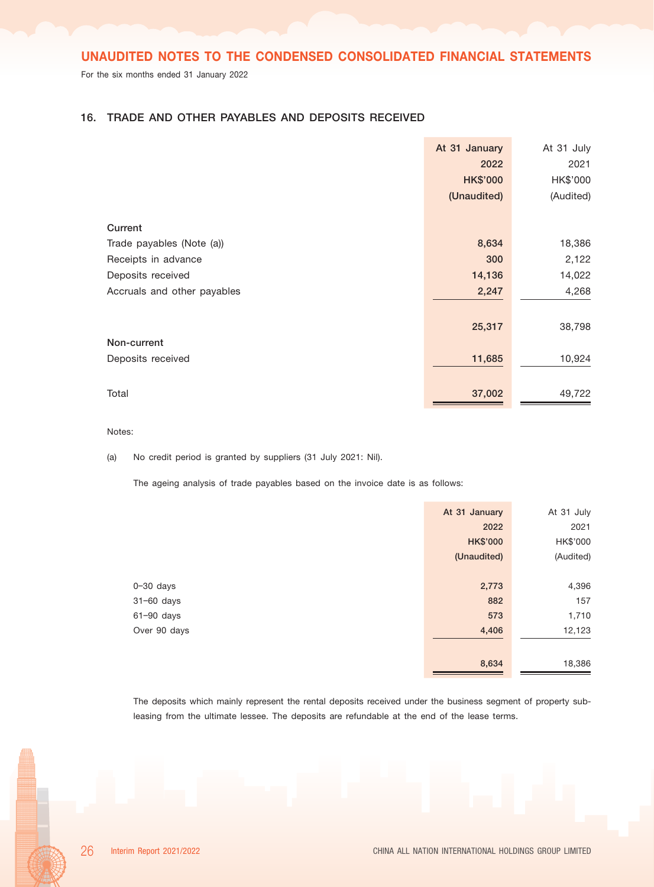For the six months ended 31 January 2022

## 16. TRADE AND OTHER PAYABLES AND DEPOSITS RECEIVED

|                             | At 31 January   | At 31 July |
|-----------------------------|-----------------|------------|
|                             | 2022            | 2021       |
|                             | <b>HK\$'000</b> | HK\$'000   |
|                             | (Unaudited)     | (Audited)  |
|                             |                 |            |
| Current                     |                 |            |
| Trade payables (Note (a))   | 8,634           | 18,386     |
| Receipts in advance         | 300             | 2,122      |
| Deposits received           | 14,136          | 14,022     |
| Accruals and other payables | 2,247           | 4,268      |
|                             |                 |            |
|                             | 25,317          | 38,798     |
| Non-current                 |                 |            |
| Deposits received           | 11,685          | 10,924     |
|                             |                 |            |
| Total                       | 37,002          | 49,722     |

Notes:

(a) No credit period is granted by suppliers (31 July 2021: Nil).

The ageing analysis of trade payables based on the invoice date is as follows:

|               | At 31 January   | At 31 July |
|---------------|-----------------|------------|
|               | 2022            | 2021       |
|               | <b>HK\$'000</b> | HK\$'000   |
|               | (Unaudited)     | (Audited)  |
|               |                 |            |
| $0 - 30$ days | 2,773           | 4,396      |
| 31-60 days    | 882             | 157        |
| 61-90 days    | 573             | 1,710      |
| Over 90 days  | 4,406           | 12,123     |
|               |                 |            |
|               | 8,634           | 18,386     |
|               |                 |            |

The deposits which mainly represent the rental deposits received under the business segment of property subleasing from the ultimate lessee. The deposits are refundable at the end of the lease terms.

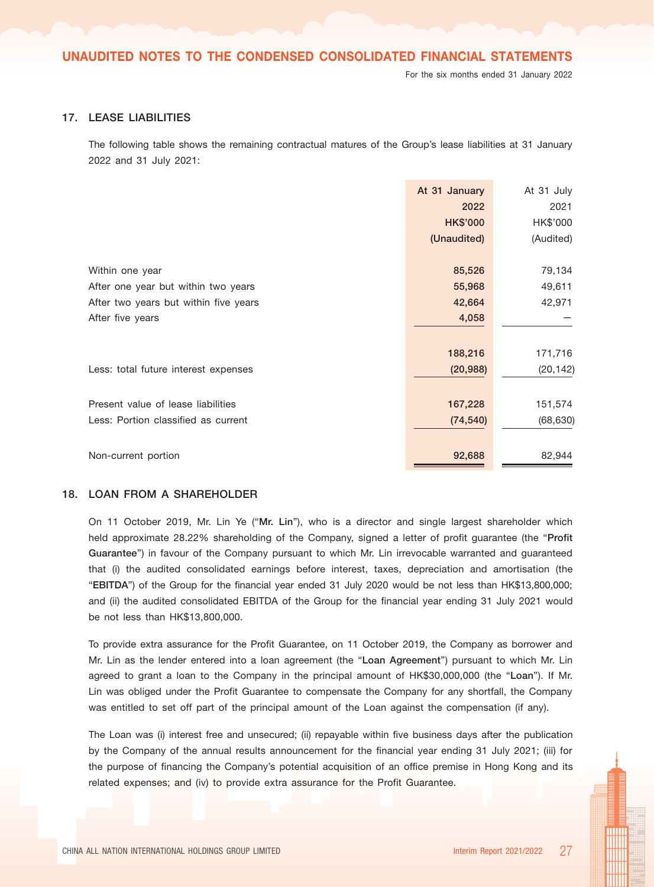#### 17. LEASE LIABILITIES

The following table shows the remaining contractual matures of the Group's lease liabilities at 31 January 2022 and 31 July 2021:

|                                       | At 31 January        | At 31 July           |
|---------------------------------------|----------------------|----------------------|
|                                       | 2022                 | 2021                 |
|                                       | <b>HK\$'000</b>      | HK\$'000             |
|                                       | (Unaudited)          | (Audited)            |
| Within one year                       | 85,526               | 79,134               |
| After one year but within two years   | 55,968               | 49,611               |
| After two years but within five years | 42,664               | 42,971               |
| After five years                      | 4,058                |                      |
|                                       |                      |                      |
| Less: total future interest expenses  | 188,216<br>(20, 988) | 171,716<br>(20, 142) |
|                                       |                      |                      |
| Present value of lease liabilities    | 167,228              | 151,574              |
| Less: Portion classified as current   | (74, 540)            | (68, 630)            |
| Non-current portion                   | 92,688               | 82,944               |

#### 18. LOAN FROM A SHAREHOLDER

On 11 October 2019, Mr. Lin Ye ("Mr. Lin"), who is a director and single largest shareholder which held approximate 28.22% shareholding of the Company, signed a letter of profit guarantee (the "Profit Guarantee") in favour of the Company pursuant to which Mr. Lin irrevocable warranted and guaranteed that (i) the audited consolidated earnings before interest, taxes, depreciation and amortisation (the "EBITDA") of the Group for the financial year ended 31 July 2020 would be not less than HK\$13,800,000; and (ii) the audited consolidated EBITDA of the Group for the financial year ending 31 July 2021 would be not less than HK\$13,800,000.

To provide extra assurance for the Profit Guarantee, on 11 October 2019, the Company as borrower and Mr. Lin as the lender entered into a loan agreement (the "Loan Agreement") pursuant to which Mr. Lin agreed to grant a loan to the Company in the principal amount of HK\$30,000,000 (the "Loan"). If Mr. Lin was obliged under the Profit Guarantee to compensate the Company for any shortfall, the Company was entitled to set off part of the principal amount of the Loan against the compensation (if any).

The Loan was (i) interest free and unsecured; (ii) repayable within five business days after the publication by the Company of the annual results announcement for the financial year ending 31 July 2021; (iii) for the purpose of financing the Company's potential acquisition of an office premise in Hong Kong and its related expenses; and (iv) to provide extra assurance for the Profit Guarantee.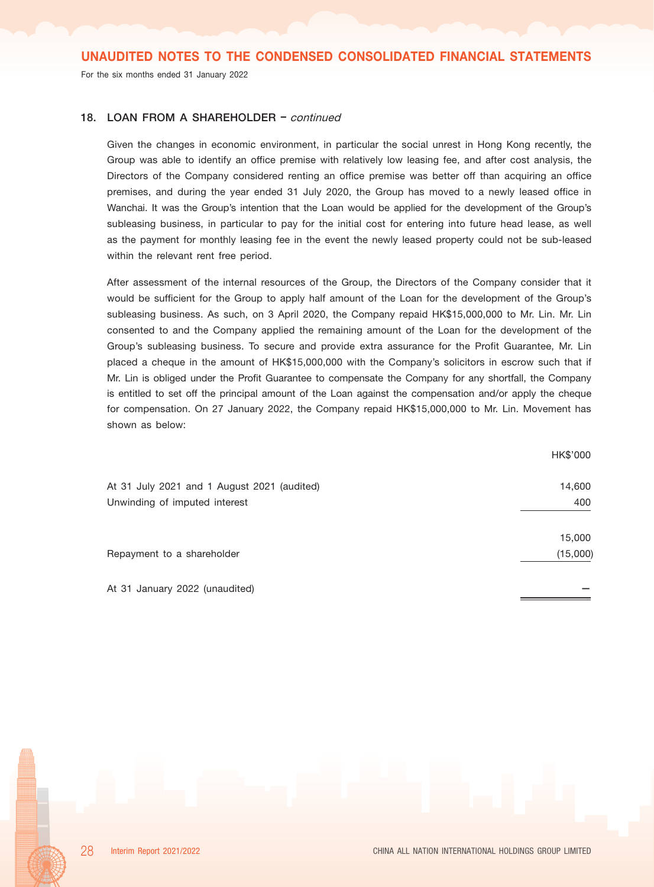For the six months ended 31 January 2022

#### 18. LOAN FROM A SHAREHOLDER - continued

Given the changes in economic environment, in particular the social unrest in Hong Kong recently, the Group was able to identify an office premise with relatively low leasing fee, and after cost analysis, the Directors of the Company considered renting an office premise was better off than acquiring an office premises, and during the year ended 31 July 2020, the Group has moved to a newly leased office in Wanchai. It was the Group's intention that the Loan would be applied for the development of the Group's subleasing business, in particular to pay for the initial cost for entering into future head lease, as well as the payment for monthly leasing fee in the event the newly leased property could not be sub-leased within the relevant rent free period.

After assessment of the internal resources of the Group, the Directors of the Company consider that it would be sufficient for the Group to apply half amount of the Loan for the development of the Group's subleasing business. As such, on 3 April 2020, the Company repaid HK\$15,000,000 to Mr. Lin. Mr. Lin consented to and the Company applied the remaining amount of the Loan for the development of the Group's subleasing business. To secure and provide extra assurance for the Profit Guarantee, Mr. Lin placed a cheque in the amount of HK\$15,000,000 with the Company's solicitors in escrow such that if Mr. Lin is obliged under the Profit Guarantee to compensate the Company for any shortfall, the Company is entitled to set off the principal amount of the Loan against the compensation and/or apply the cheque for compensation. On 27 January 2022, the Company repaid HK\$15,000,000 to Mr. Lin. Movement has shown as below:

|                                             | HK\$'000 |
|---------------------------------------------|----------|
| At 31 July 2021 and 1 August 2021 (audited) | 14,600   |
| Unwinding of imputed interest               | 400      |
|                                             | 15,000   |
| Repayment to a shareholder                  | (15,000) |
| At 31 January 2022 (unaudited)              |          |

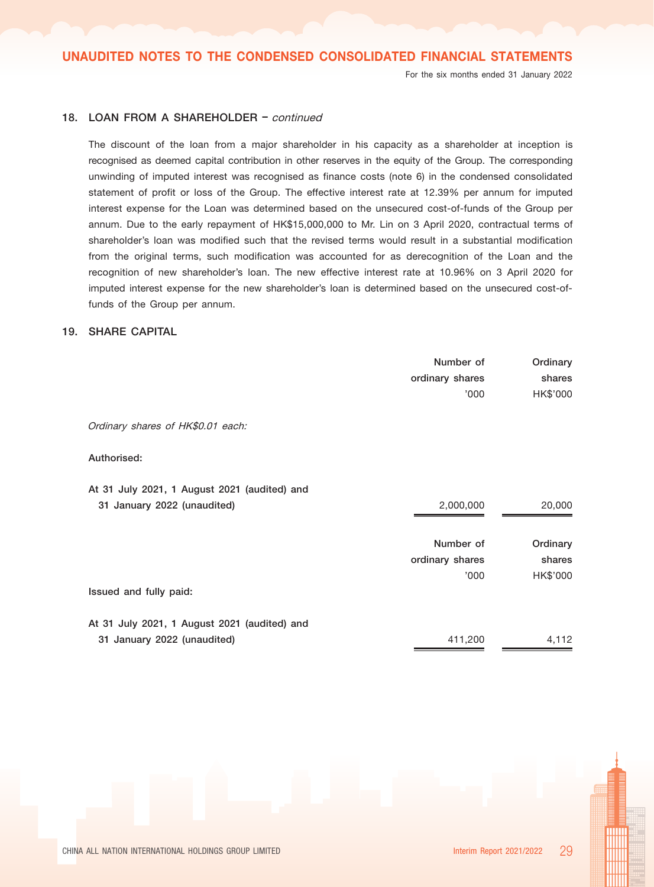For the six months ended 31 January 2022

## 18. LOAN FROM A SHAREHOLDER - continued

The discount of the loan from a major shareholder in his capacity as a shareholder at inception is recognised as deemed capital contribution in other reserves in the equity of the Group. The corresponding unwinding of imputed interest was recognised as finance costs (note 6) in the condensed consolidated statement of profit or loss of the Group. The effective interest rate at 12.39% per annum for imputed interest expense for the Loan was determined based on the unsecured cost-of-funds of the Group per annum. Due to the early repayment of HK\$15,000,000 to Mr. Lin on 3 April 2020, contractual terms of shareholder's loan was modified such that the revised terms would result in a substantial modification from the original terms, such modification was accounted for as derecognition of the Loan and the recognition of new shareholder's loan. The new effective interest rate at 10.96% on 3 April 2020 for imputed interest expense for the new shareholder's loan is determined based on the unsecured cost-offunds of the Group per annum.

#### 19. SHARE CAPITAL

|                                              | Number of       | Ordinary |
|----------------------------------------------|-----------------|----------|
|                                              | ordinary shares | shares   |
|                                              | '000'           | HK\$'000 |
|                                              |                 |          |
| Ordinary shares of HK\$0.01 each:            |                 |          |
|                                              |                 |          |
| Authorised:                                  |                 |          |
| At 31 July 2021, 1 August 2021 (audited) and |                 |          |
|                                              |                 |          |
| 31 January 2022 (unaudited)                  | 2,000,000       | 20,000   |
|                                              |                 |          |
|                                              | Number of       | Ordinary |
|                                              | ordinary shares | shares   |
|                                              | '000            | HK\$'000 |
| Issued and fully paid:                       |                 |          |
|                                              |                 |          |
| At 31 July 2021, 1 August 2021 (audited) and |                 |          |
| 31 January 2022 (unaudited)                  | 411,200         | 4,112    |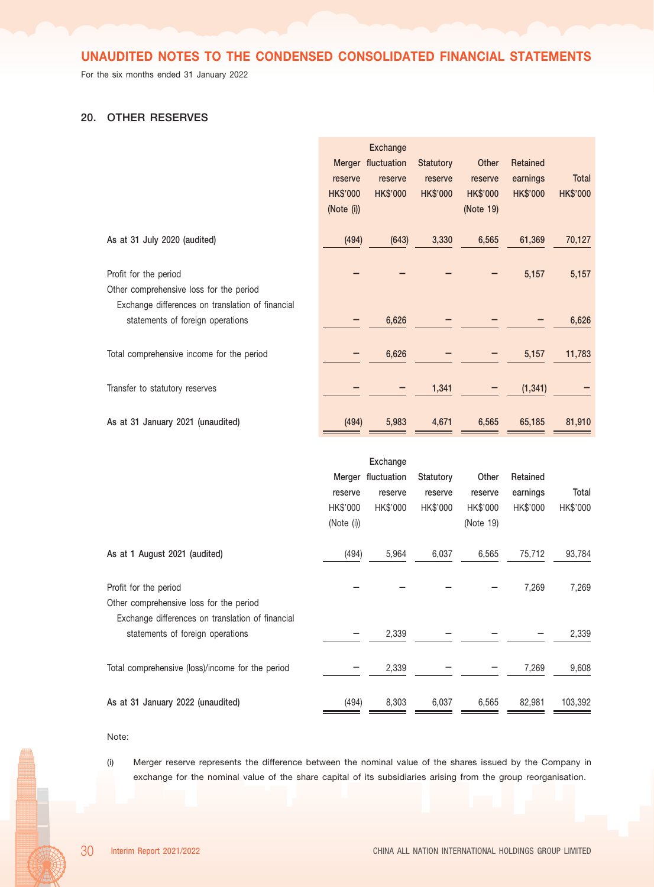For the six months ended 31 January 2022

## 20. OTHER RESERVES

|                                                                                                                      | reserve<br><b>HK\$'000</b><br>(Note (i)) | <b>Exchange</b><br>Merger fluctuation<br>reserve<br><b>HK\$'000</b> | <b>Statutory</b><br>reserve<br><b>HK\$'000</b> | Other<br>reserve<br><b>HK\$'000</b><br>(Note 19) | Retained<br>earnings<br><b>HK\$'000</b> | Total<br><b>HK\$'000</b> |
|----------------------------------------------------------------------------------------------------------------------|------------------------------------------|---------------------------------------------------------------------|------------------------------------------------|--------------------------------------------------|-----------------------------------------|--------------------------|
| As at 31 July 2020 (audited)                                                                                         | (494)                                    | (643)                                                               | 3,330                                          | 6,565                                            | 61,369                                  | 70,127                   |
| Profit for the period<br>Other comprehensive loss for the period<br>Exchange differences on translation of financial |                                          |                                                                     |                                                |                                                  | 5,157                                   | 5,157                    |
| statements of foreign operations                                                                                     |                                          | 6,626                                                               |                                                |                                                  |                                         | 6,626                    |
| Total comprehensive income for the period                                                                            |                                          | 6,626                                                               |                                                |                                                  | 5,157                                   | 11,783                   |
| Transfer to statutory reserves                                                                                       |                                          |                                                                     | 1,341                                          |                                                  | (1, 341)                                |                          |
| As at 31 January 2021 (unaudited)                                                                                    | (494)                                    | 5,983                                                               | 4,671                                          | 6,565                                            | 65,185                                  | 81,910                   |
|                                                                                                                      |                                          | Exchange                                                            |                                                |                                                  |                                         |                          |
|                                                                                                                      |                                          | Merger fluctuation                                                  | Statutory                                      | Other                                            | Retained                                |                          |
|                                                                                                                      | reserve                                  | reserve                                                             | reserve                                        | reserve                                          | earnings                                | Total                    |
|                                                                                                                      | HK\$'000<br>(Note (i))                   | HK\$'000                                                            | HK\$'000                                       | HK\$'000<br>(Note 19)                            | HK\$'000                                | HK\$'000                 |
| As at 1 August 2021 (audited)                                                                                        | (494)                                    | 5,964                                                               | 6,037                                          | 6,565                                            | 75,712                                  | 93,784                   |
| Profit for the period                                                                                                |                                          |                                                                     |                                                |                                                  | 7,269                                   | 7,269                    |
| Other comprehensive loss for the period<br>Exchange differences on translation of financial                          |                                          |                                                                     |                                                |                                                  |                                         |                          |
| statements of foreign operations                                                                                     |                                          | 2,339                                                               |                                                |                                                  |                                         | 2,339                    |
| Total comprehensive (loss)/income for the period                                                                     |                                          | 2,339                                                               |                                                |                                                  | 7,269                                   | 9,608                    |
| As at 31 January 2022 (unaudited)                                                                                    | (494)                                    | 8,303                                                               | 6,037                                          | 6,565                                            | 82,981                                  | 103,392                  |

Note:

(i) Merger reserve represents the difference between the nominal value of the shares issued by the Company in exchange for the nominal value of the share capital of its subsidiaries arising from the group reorganisation.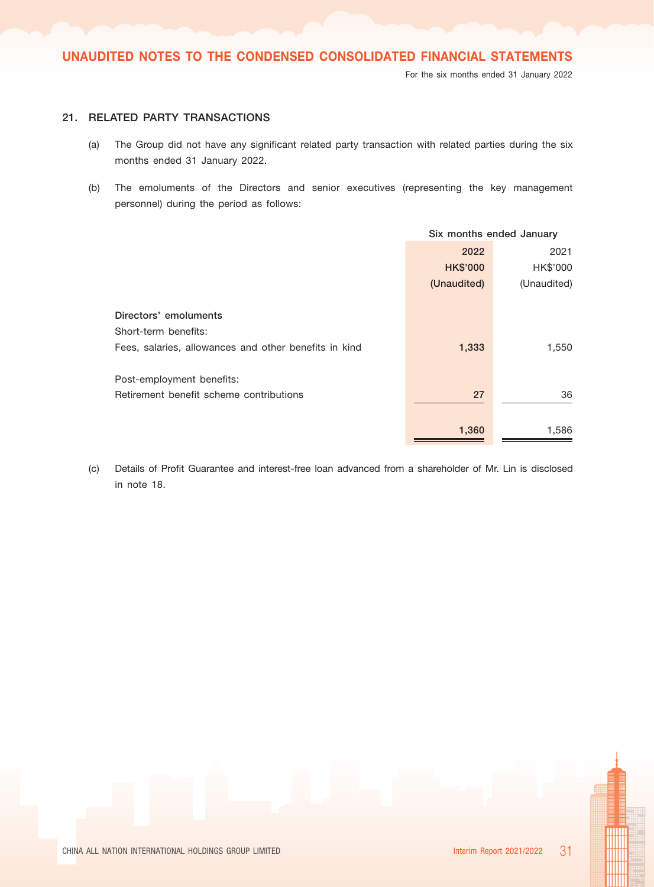## 21. RELATED PARTY TRANSACTIONS

- (a) The Group did not have any significant related party transaction with related parties during the six months ended 31 January 2022.
- (b) The emoluments of the Directors and senior executives (representing the key management personnel) during the period as follows:

|                                                       | Six months ended January |             |  |
|-------------------------------------------------------|--------------------------|-------------|--|
|                                                       | 2022                     | 2021        |  |
|                                                       | <b>HK\$'000</b>          | HK\$'000    |  |
|                                                       | (Unaudited)              | (Unaudited) |  |
|                                                       |                          |             |  |
| Directors' emoluments                                 |                          |             |  |
| Short-term benefits:                                  |                          |             |  |
| Fees, salaries, allowances and other benefits in kind | 1,333                    | 1,550       |  |
|                                                       |                          |             |  |
| Post-employment benefits:                             |                          |             |  |
| Retirement benefit scheme contributions               | 27                       | 36          |  |
|                                                       |                          |             |  |
|                                                       | 1,360                    | 1,586       |  |
|                                                       |                          |             |  |

(c) Details of Profit Guarantee and interest-free loan advanced from a shareholder of Mr. Lin is disclosed in note 18.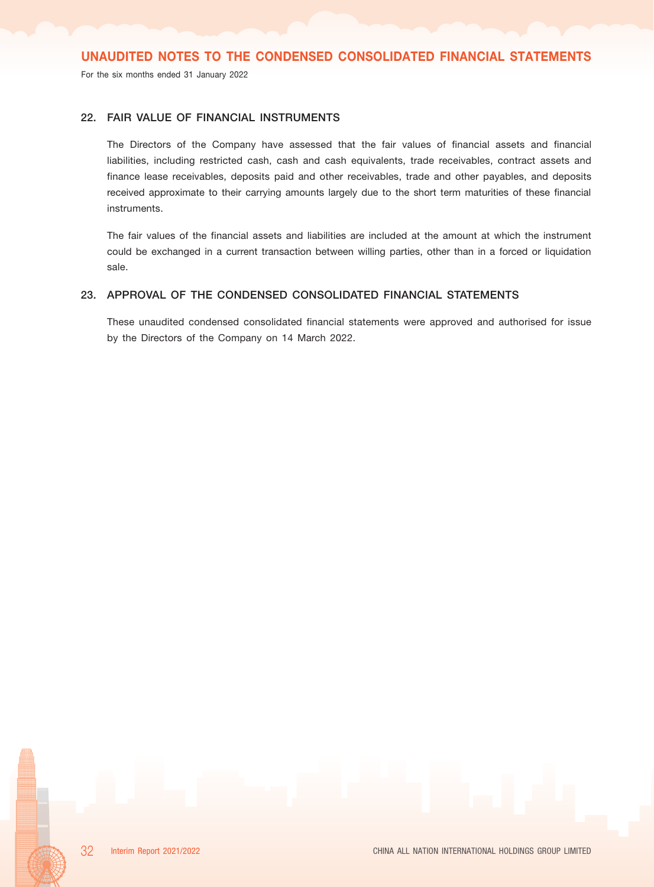For the six months ended 31 January 2022

## 22. FAIR VALUE OF FINANCIAL INSTRUMENTS

The Directors of the Company have assessed that the fair values of financial assets and financial liabilities, including restricted cash, cash and cash equivalents, trade receivables, contract assets and finance lease receivables, deposits paid and other receivables, trade and other payables, and deposits received approximate to their carrying amounts largely due to the short term maturities of these financial instruments.

The fair values of the financial assets and liabilities are included at the amount at which the instrument could be exchanged in a current transaction between willing parties, other than in a forced or liquidation sale.

## 23. APPROVAL OF THE CONDENSED CONSOLIDATED FINANCIAL STATEMENTS

These unaudited condensed consolidated financial statements were approved and authorised for issue by the Directors of the Company on 14 March 2022.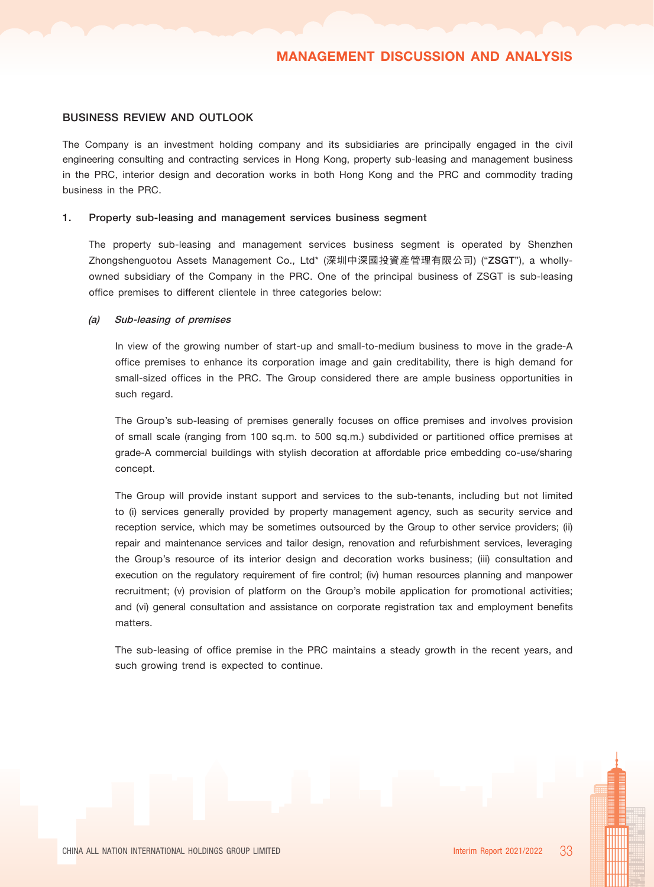#### BUSINESS REVIEW AND OUTLOOK

The Company is an investment holding company and its subsidiaries are principally engaged in the civil engineering consulting and contracting services in Hong Kong, property sub-leasing and management business in the PRC, interior design and decoration works in both Hong Kong and the PRC and commodity trading business in the PRC.

#### 1. Property sub-leasing and management services business segment

The property sub-leasing and management services business segment is operated by Shenzhen Zhongshenguotou Assets Management Co., Ltd\* (深圳中深國投資產管理有限公司) ("ZSGT"), a whollyowned subsidiary of the Company in the PRC. One of the principal business of ZSGT is sub-leasing office premises to different clientele in three categories below:

#### (a) Sub-leasing of premises

In view of the growing number of start-up and small-to-medium business to move in the grade-A office premises to enhance its corporation image and gain creditability, there is high demand for small-sized offices in the PRC. The Group considered there are ample business opportunities in such regard.

The Group's sub-leasing of premises generally focuses on office premises and involves provision of small scale (ranging from 100 sq.m. to 500 sq.m.) subdivided or partitioned office premises at grade-A commercial buildings with stylish decoration at affordable price embedding co-use/sharing concept.

The Group will provide instant support and services to the sub-tenants, including but not limited to (i) services generally provided by property management agency, such as security service and reception service, which may be sometimes outsourced by the Group to other service providers; (ii) repair and maintenance services and tailor design, renovation and refurbishment services, leveraging the Group's resource of its interior design and decoration works business; (iii) consultation and execution on the regulatory requirement of fire control; (iv) human resources planning and manpower recruitment; (v) provision of platform on the Group's mobile application for promotional activities; and (vi) general consultation and assistance on corporate registration tax and employment benefits matters.

The sub-leasing of office premise in the PRC maintains a steady growth in the recent years, and such growing trend is expected to continue.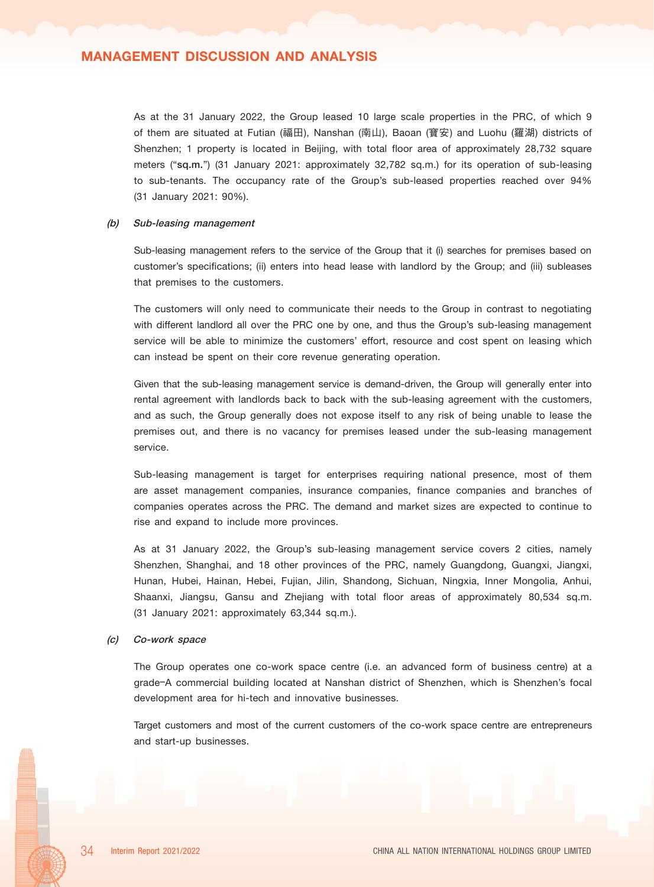## MANAGEMENT DISCUSSION AND ANALYSIS

As at the 31 January 2022, the Group leased 10 large scale properties in the PRC, of which 9 of them are situated at Futian (福田), Nanshan (南山), Baoan (寶安) and Luohu (羅湖) districts of Shenzhen; 1 property is located in Beijing, with total floor area of approximately 28,732 square meters ("sq.m.") (31 January 2021: approximately 32,782 sq.m.) for its operation of sub-leasing to sub-tenants. The occupancy rate of the Group's sub-leased properties reached over 94% (31 January 2021: 90%).

#### (b) Sub-leasing management

Sub-leasing management refers to the service of the Group that it (i) searches for premises based on customer's specifications; (ii) enters into head lease with landlord by the Group; and (iii) subleases that premises to the customers.

The customers will only need to communicate their needs to the Group in contrast to negotiating with different landlord all over the PRC one by one, and thus the Group's sub-leasing management service will be able to minimize the customers' effort, resource and cost spent on leasing which can instead be spent on their core revenue generating operation.

Given that the sub-leasing management service is demand-driven, the Group will generally enter into rental agreement with landlords back to back with the sub-leasing agreement with the customers, and as such, the Group generally does not expose itself to any risk of being unable to lease the premises out, and there is no vacancy for premises leased under the sub-leasing management service.

Sub-leasing management is target for enterprises requiring national presence, most of them are asset management companies, insurance companies, finance companies and branches of companies operates across the PRC. The demand and market sizes are expected to continue to rise and expand to include more provinces.

As at 31 January 2022, the Group's sub-leasing management service covers 2 cities, namely Shenzhen, Shanghai, and 18 other provinces of the PRC, namely Guangdong, Guangxi, Jiangxi, Hunan, Hubei, Hainan, Hebei, Fujian, Jilin, Shandong, Sichuan, Ningxia, Inner Mongolia, Anhui, Shaanxi, Jiangsu, Gansu and Zhejiang with total floor areas of approximately 80,534 sq.m. (31 January 2021: approximately 63,344 sq.m.).

#### (c) Co-work space

The Group operates one co-work space centre (i.e. an advanced form of business centre) at a grade–A commercial building located at Nanshan district of Shenzhen, which is Shenzhen's focal development area for hi-tech and innovative businesses.

Target customers and most of the current customers of the co-work space centre are entrepreneurs and start-up businesses.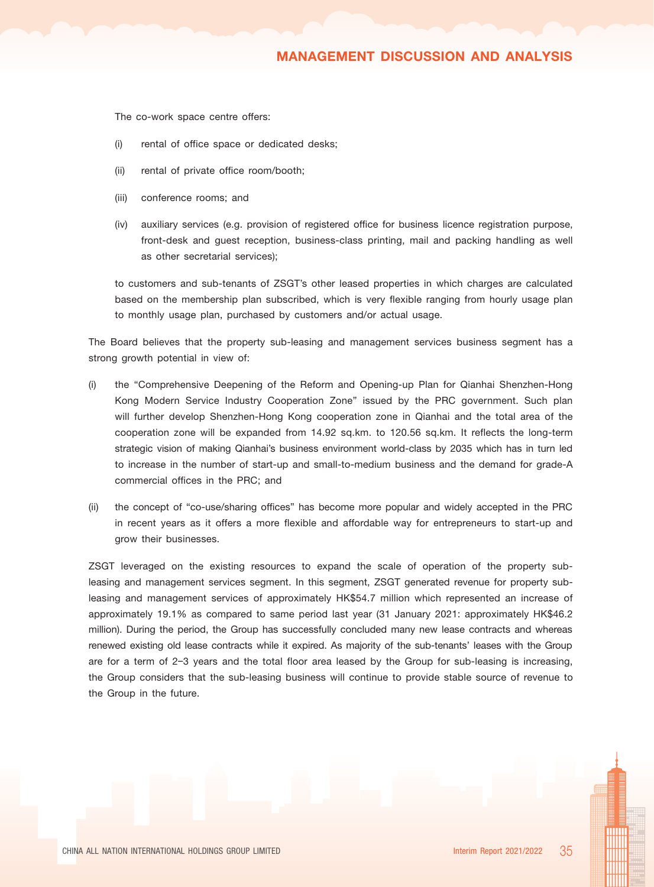## MANAGEMENT DISCUSSION AND ANALYSIS

The co-work space centre offers:

- (i) rental of office space or dedicated desks;
- (ii) rental of private office room/booth;
- (iii) conference rooms; and
- (iv) auxiliary services (e.g. provision of registered office for business licence registration purpose, front-desk and guest reception, business-class printing, mail and packing handling as well as other secretarial services);

to customers and sub-tenants of ZSGT's other leased properties in which charges are calculated based on the membership plan subscribed, which is very flexible ranging from hourly usage plan to monthly usage plan, purchased by customers and/or actual usage.

The Board believes that the property sub-leasing and management services business segment has a strong growth potential in view of:

- (i) the "Comprehensive Deepening of the Reform and Opening-up Plan for Qianhai Shenzhen-Hong Kong Modern Service Industry Cooperation Zone" issued by the PRC government. Such plan will further develop Shenzhen-Hong Kong cooperation zone in Qianhai and the total area of the cooperation zone will be expanded from 14.92 sq.km. to 120.56 sq.km. It reflects the long-term strategic vision of making Qianhai's business environment world-class by 2035 which has in turn led to increase in the number of start-up and small-to-medium business and the demand for grade-A commercial offices in the PRC; and
- (ii) the concept of "co-use/sharing offices" has become more popular and widely accepted in the PRC in recent years as it offers a more flexible and affordable way for entrepreneurs to start-up and grow their businesses.

ZSGT leveraged on the existing resources to expand the scale of operation of the property subleasing and management services segment. In this segment, ZSGT generated revenue for property subleasing and management services of approximately HK\$54.7 million which represented an increase of approximately 19.1% as compared to same period last year (31 January 2021: approximately HK\$46.2 million). During the period, the Group has successfully concluded many new lease contracts and whereas renewed existing old lease contracts while it expired. As majority of the sub-tenants' leases with the Group are for a term of 2–3 years and the total floor area leased by the Group for sub-leasing is increasing, the Group considers that the sub-leasing business will continue to provide stable source of revenue to the Group in the future.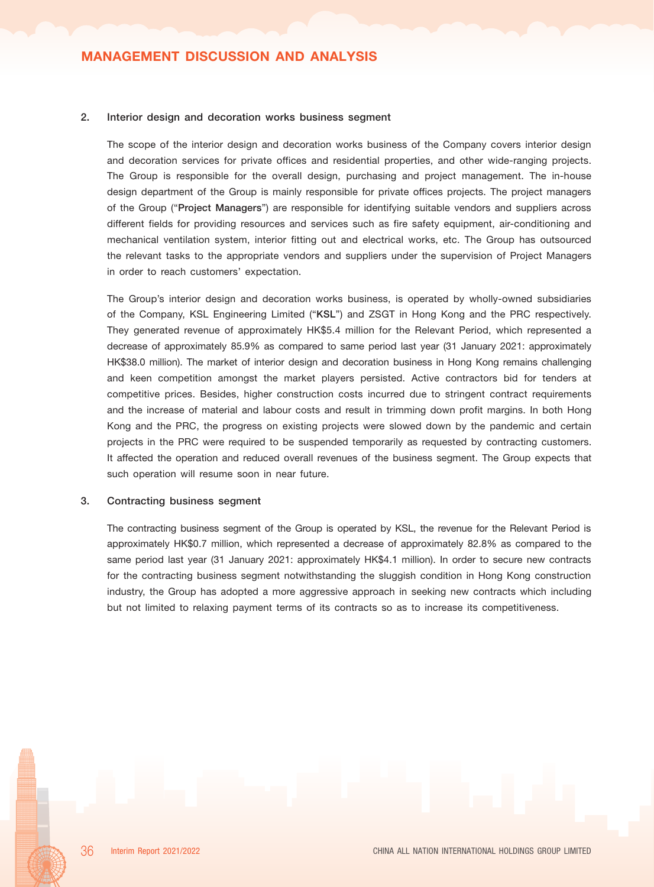#### 2. Interior design and decoration works business segment

The scope of the interior design and decoration works business of the Company covers interior design and decoration services for private offices and residential properties, and other wide-ranging projects. The Group is responsible for the overall design, purchasing and project management. The in-house design department of the Group is mainly responsible for private offices projects. The project managers of the Group ("Project Managers") are responsible for identifying suitable vendors and suppliers across different fields for providing resources and services such as fire safety equipment, air-conditioning and mechanical ventilation system, interior fitting out and electrical works, etc. The Group has outsourced the relevant tasks to the appropriate vendors and suppliers under the supervision of Project Managers in order to reach customers' expectation.

The Group's interior design and decoration works business, is operated by wholly-owned subsidiaries of the Company, KSL Engineering Limited ("KSL") and ZSGT in Hong Kong and the PRC respectively. They generated revenue of approximately HK\$5.4 million for the Relevant Period, which represented a decrease of approximately 85.9% as compared to same period last year (31 January 2021: approximately HK\$38.0 million). The market of interior design and decoration business in Hong Kong remains challenging and keen competition amongst the market players persisted. Active contractors bid for tenders at competitive prices. Besides, higher construction costs incurred due to stringent contract requirements and the increase of material and labour costs and result in trimming down profit margins. In both Hong Kong and the PRC, the progress on existing projects were slowed down by the pandemic and certain projects in the PRC were required to be suspended temporarily as requested by contracting customers. It affected the operation and reduced overall revenues of the business segment. The Group expects that such operation will resume soon in near future.

#### 3. Contracting business segment

The contracting business segment of the Group is operated by KSL, the revenue for the Relevant Period is approximately HK\$0.7 million, which represented a decrease of approximately 82.8% as compared to the same period last year (31 January 2021: approximately HK\$4.1 million). In order to secure new contracts for the contracting business segment notwithstanding the sluggish condition in Hong Kong construction industry, the Group has adopted a more aggressive approach in seeking new contracts which including but not limited to relaxing payment terms of its contracts so as to increase its competitiveness.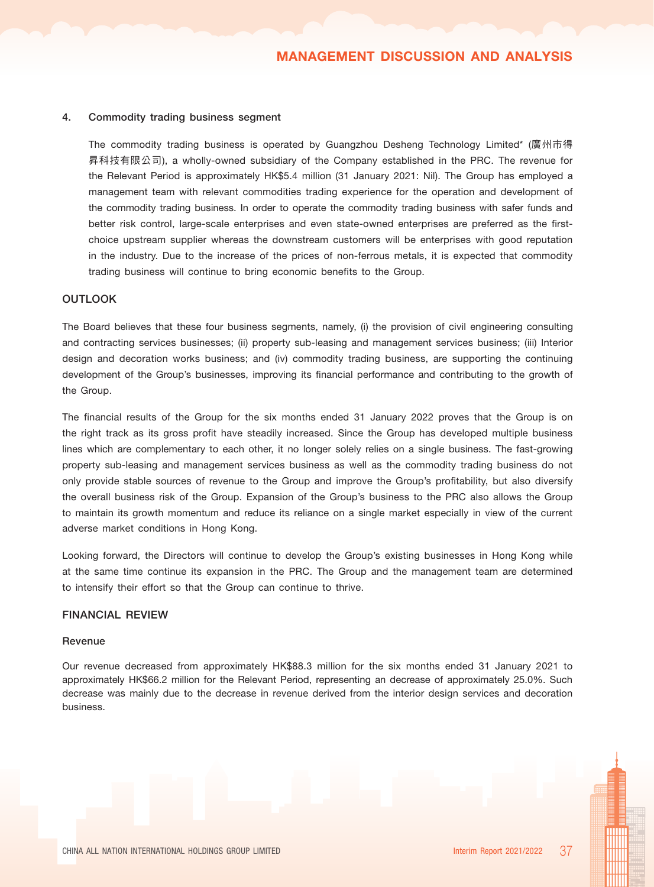#### 4. Commodity trading business segment

The commodity trading business is operated by Guangzhou Desheng Technology Limited\* (廣州市得 昇科技有限公司), a wholly-owned subsidiary of the Company established in the PRC. The revenue for the Relevant Period is approximately HK\$5.4 million (31 January 2021: Nil). The Group has employed a management team with relevant commodities trading experience for the operation and development of the commodity trading business. In order to operate the commodity trading business with safer funds and better risk control, large-scale enterprises and even state-owned enterprises are preferred as the firstchoice upstream supplier whereas the downstream customers will be enterprises with good reputation in the industry. Due to the increase of the prices of non-ferrous metals, it is expected that commodity trading business will continue to bring economic benefits to the Group.

## **OUTLOOK**

The Board believes that these four business segments, namely, (i) the provision of civil engineering consulting and contracting services businesses; (ii) property sub-leasing and management services business; (iii) Interior design and decoration works business; and (iv) commodity trading business, are supporting the continuing development of the Group's businesses, improving its financial performance and contributing to the growth of the Group.

The financial results of the Group for the six months ended 31 January 2022 proves that the Group is on the right track as its gross profit have steadily increased. Since the Group has developed multiple business lines which are complementary to each other, it no longer solely relies on a single business. The fast-growing property sub-leasing and management services business as well as the commodity trading business do not only provide stable sources of revenue to the Group and improve the Group's profitability, but also diversify the overall business risk of the Group. Expansion of the Group's business to the PRC also allows the Group to maintain its growth momentum and reduce its reliance on a single market especially in view of the current adverse market conditions in Hong Kong.

Looking forward, the Directors will continue to develop the Group's existing businesses in Hong Kong while at the same time continue its expansion in the PRC. The Group and the management team are determined to intensify their effort so that the Group can continue to thrive.

#### FINANCIAL REVIEW

#### Revenue

Our revenue decreased from approximately HK\$88.3 million for the six months ended 31 January 2021 to approximately HK\$66.2 million for the Relevant Period, representing an decrease of approximately 25.0%. Such decrease was mainly due to the decrease in revenue derived from the interior design services and decoration business.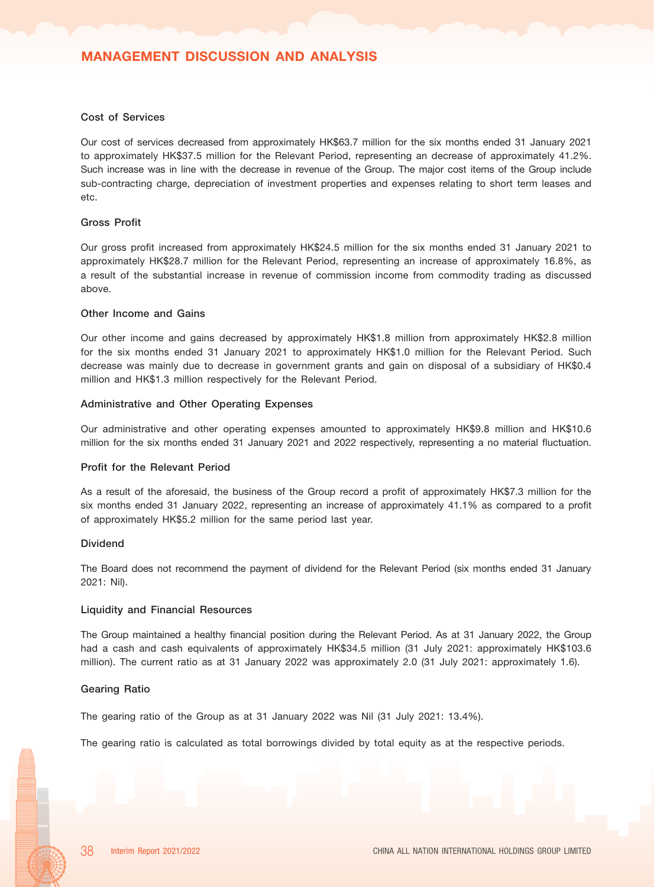#### Cost of Services

Our cost of services decreased from approximately HK\$63.7 million for the six months ended 31 January 2021 to approximately HK\$37.5 million for the Relevant Period, representing an decrease of approximately 41.2%. Such increase was in line with the decrease in revenue of the Group. The major cost items of the Group include sub-contracting charge, depreciation of investment properties and expenses relating to short term leases and etc.

#### Gross Profit

Our gross profit increased from approximately HK\$24.5 million for the six months ended 31 January 2021 to approximately HK\$28.7 million for the Relevant Period, representing an increase of approximately 16.8%, as a result of the substantial increase in revenue of commission income from commodity trading as discussed above.

#### Other Income and Gains

Our other income and gains decreased by approximately HK\$1.8 million from approximately HK\$2.8 million for the six months ended 31 January 2021 to approximately HK\$1.0 million for the Relevant Period. Such decrease was mainly due to decrease in government grants and gain on disposal of a subsidiary of HK\$0.4 million and HK\$1.3 million respectively for the Relevant Period.

#### Administrative and Other Operating Expenses

Our administrative and other operating expenses amounted to approximately HK\$9.8 million and HK\$10.6 million for the six months ended 31 January 2021 and 2022 respectively, representing a no material fluctuation.

#### Profit for the Relevant Period

As a result of the aforesaid, the business of the Group record a profit of approximately HK\$7.3 million for the six months ended 31 January 2022, representing an increase of approximately 41.1% as compared to a profit of approximately HK\$5.2 million for the same period last year.

#### Dividend

The Board does not recommend the payment of dividend for the Relevant Period (six months ended 31 January 2021: Nil).

#### Liquidity and Financial Resources

The Group maintained a healthy financial position during the Relevant Period. As at 31 January 2022, the Group had a cash and cash equivalents of approximately HK\$34.5 million (31 July 2021: approximately HK\$103.6 million). The current ratio as at 31 January 2022 was approximately 2.0 (31 July 2021: approximately 1.6).

#### Gearing Ratio

The gearing ratio of the Group as at 31 January 2022 was Nil (31 July 2021: 13.4%).

The gearing ratio is calculated as total borrowings divided by total equity as at the respective periods.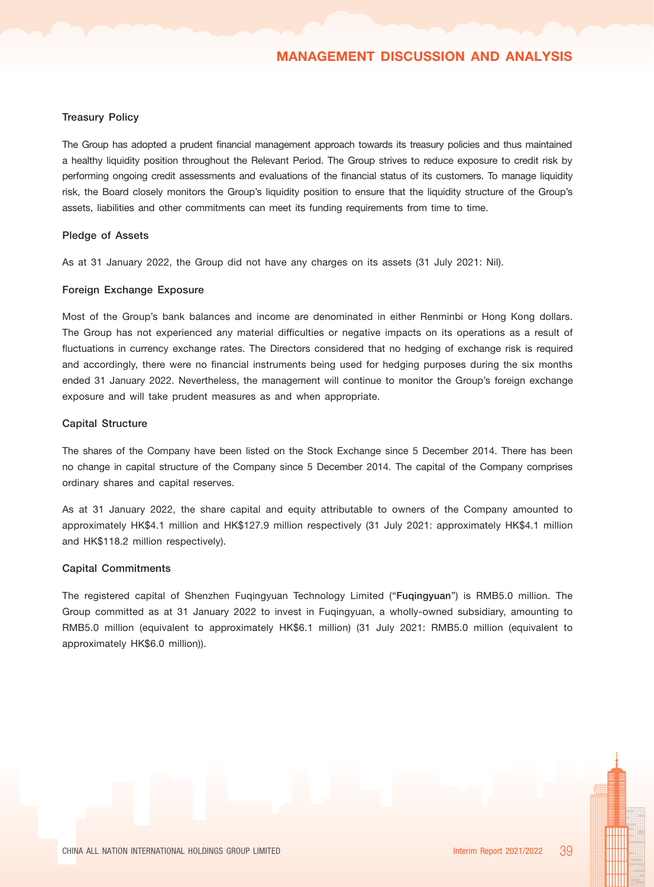#### Treasury Policy

The Group has adopted a prudent financial management approach towards its treasury policies and thus maintained a healthy liquidity position throughout the Relevant Period. The Group strives to reduce exposure to credit risk by performing ongoing credit assessments and evaluations of the financial status of its customers. To manage liquidity risk, the Board closely monitors the Group's liquidity position to ensure that the liquidity structure of the Group's assets, liabilities and other commitments can meet its funding requirements from time to time.

#### Pledge of Assets

As at 31 January 2022, the Group did not have any charges on its assets (31 July 2021: Nil).

#### Foreign Exchange Exposure

Most of the Group's bank balances and income are denominated in either Renminbi or Hong Kong dollars. The Group has not experienced any material difficulties or negative impacts on its operations as a result of fluctuations in currency exchange rates. The Directors considered that no hedging of exchange risk is required and accordingly, there were no financial instruments being used for hedging purposes during the six months ended 31 January 2022. Nevertheless, the management will continue to monitor the Group's foreign exchange exposure and will take prudent measures as and when appropriate.

#### Capital Structure

The shares of the Company have been listed on the Stock Exchange since 5 December 2014. There has been no change in capital structure of the Company since 5 December 2014. The capital of the Company comprises ordinary shares and capital reserves.

As at 31 January 2022, the share capital and equity attributable to owners of the Company amounted to approximately HK\$4.1 million and HK\$127.9 million respectively (31 July 2021: approximately HK\$4.1 million and HK\$118.2 million respectively).

#### Capital Commitments

The registered capital of Shenzhen Fuqingyuan Technology Limited ("Fuqingyuan") is RMB5.0 million. The Group committed as at 31 January 2022 to invest in Fuqingyuan, a wholly-owned subsidiary, amounting to RMB5.0 million (equivalent to approximately HK\$6.1 million) (31 July 2021: RMB5.0 million (equivalent to approximately HK\$6.0 million)).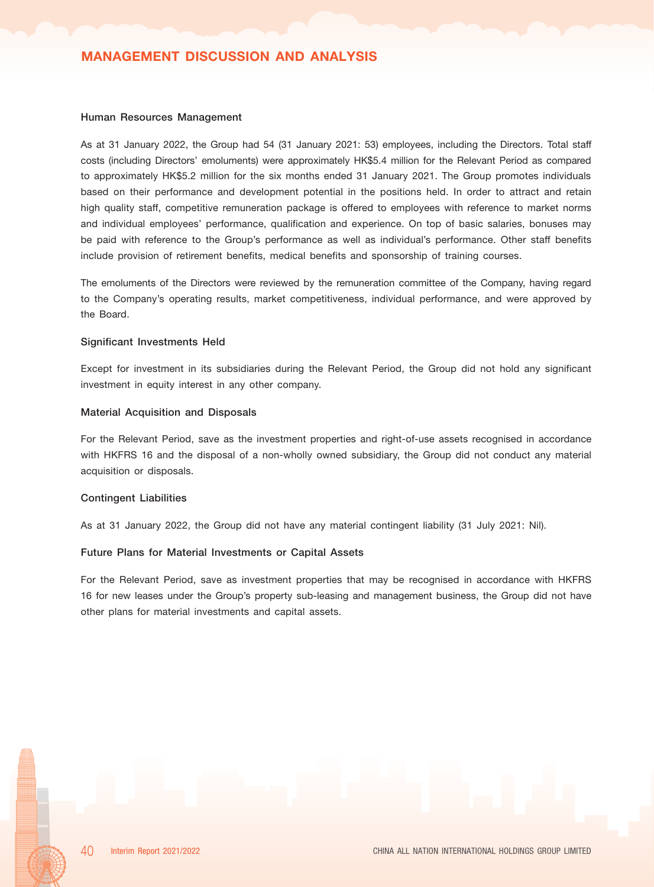#### Human Resources Management

As at 31 January 2022, the Group had 54 (31 January 2021: 53) employees, including the Directors. Total staff costs (including Directors' emoluments) were approximately HK\$5.4 million for the Relevant Period as compared to approximately HK\$5.2 million for the six months ended 31 January 2021. The Group promotes individuals based on their performance and development potential in the positions held. In order to attract and retain high quality staff, competitive remuneration package is offered to employees with reference to market norms and individual employees' performance, qualification and experience. On top of basic salaries, bonuses may be paid with reference to the Group's performance as well as individual's performance. Other staff benefits include provision of retirement benefits, medical benefits and sponsorship of training courses.

The emoluments of the Directors were reviewed by the remuneration committee of the Company, having regard to the Company's operating results, market competitiveness, individual performance, and were approved by the Board.

#### Significant Investments Held

Except for investment in its subsidiaries during the Relevant Period, the Group did not hold any significant investment in equity interest in any other company.

#### Material Acquisition and Disposals

For the Relevant Period, save as the investment properties and right-of-use assets recognised in accordance with HKFRS 16 and the disposal of a non-wholly owned subsidiary, the Group did not conduct any material acquisition or disposals.

#### Contingent Liabilities

As at 31 January 2022, the Group did not have any material contingent liability (31 July 2021: Nil).

#### Future Plans for Material Investments or Capital Assets

For the Relevant Period, save as investment properties that may be recognised in accordance with HKFRS 16 for new leases under the Group's property sub-leasing and management business, the Group did not have other plans for material investments and capital assets.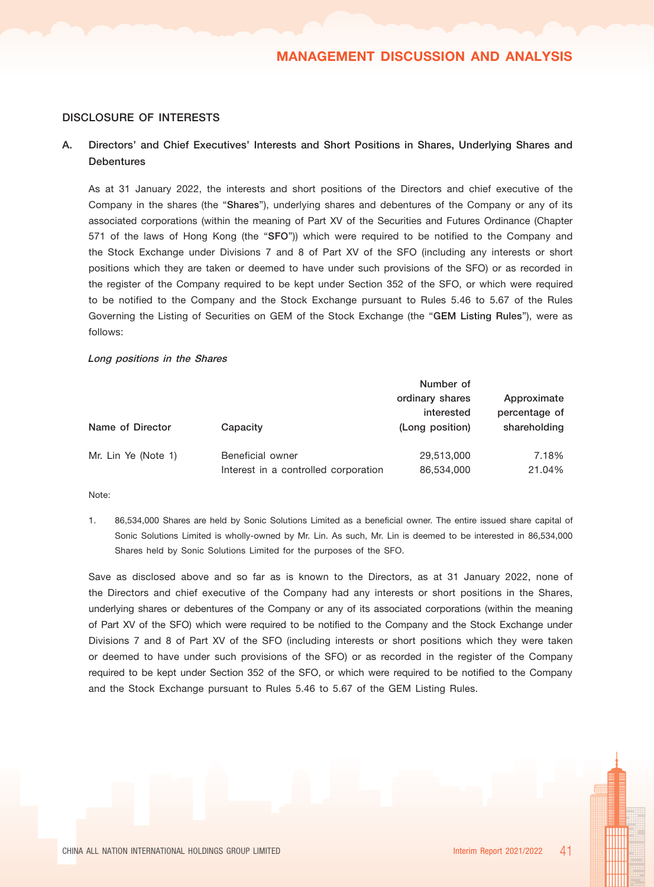## DISCLOSURE OF INTERESTS

## A. Directors' and Chief Executives' Interests and Short Positions in Shares, Underlying Shares and **Debentures**

As at 31 January 2022, the interests and short positions of the Directors and chief executive of the Company in the shares (the "Shares"), underlying shares and debentures of the Company or any of its associated corporations (within the meaning of Part XV of the Securities and Futures Ordinance (Chapter 571 of the laws of Hong Kong (the "SFO")) which were required to be notified to the Company and the Stock Exchange under Divisions 7 and 8 of Part XV of the SFO (including any interests or short positions which they are taken or deemed to have under such provisions of the SFO) or as recorded in the register of the Company required to be kept under Section 352 of the SFO, or which were required to be notified to the Company and the Stock Exchange pursuant to Rules 5.46 to 5.67 of the Rules Governing the Listing of Securities on GEM of the Stock Exchange (the "GEM Listing Rules"), were as follows:

#### Long positions in the Shares

|                     |                                      | Number of                     |                              |
|---------------------|--------------------------------------|-------------------------------|------------------------------|
|                     |                                      | ordinary shares<br>interested | Approximate<br>percentage of |
| Name of Director    | Capacity                             | (Long position)               | shareholding                 |
|                     |                                      |                               |                              |
| Mr. Lin Ye (Note 1) | Beneficial owner                     | 29,513,000                    | 7.18%                        |
|                     | Interest in a controlled corporation | 86,534,000                    | 21.04%                       |

Note:

1. 86,534,000 Shares are held by Sonic Solutions Limited as a beneficial owner. The entire issued share capital of Sonic Solutions Limited is wholly-owned by Mr. Lin. As such, Mr. Lin is deemed to be interested in 86,534,000 Shares held by Sonic Solutions Limited for the purposes of the SFO.

Save as disclosed above and so far as is known to the Directors, as at 31 January 2022, none of the Directors and chief executive of the Company had any interests or short positions in the Shares, underlying shares or debentures of the Company or any of its associated corporations (within the meaning of Part XV of the SFO) which were required to be notified to the Company and the Stock Exchange under Divisions 7 and 8 of Part XV of the SFO (including interests or short positions which they were taken or deemed to have under such provisions of the SFO) or as recorded in the register of the Company required to be kept under Section 352 of the SFO, or which were required to be notified to the Company and the Stock Exchange pursuant to Rules 5.46 to 5.67 of the GEM Listing Rules.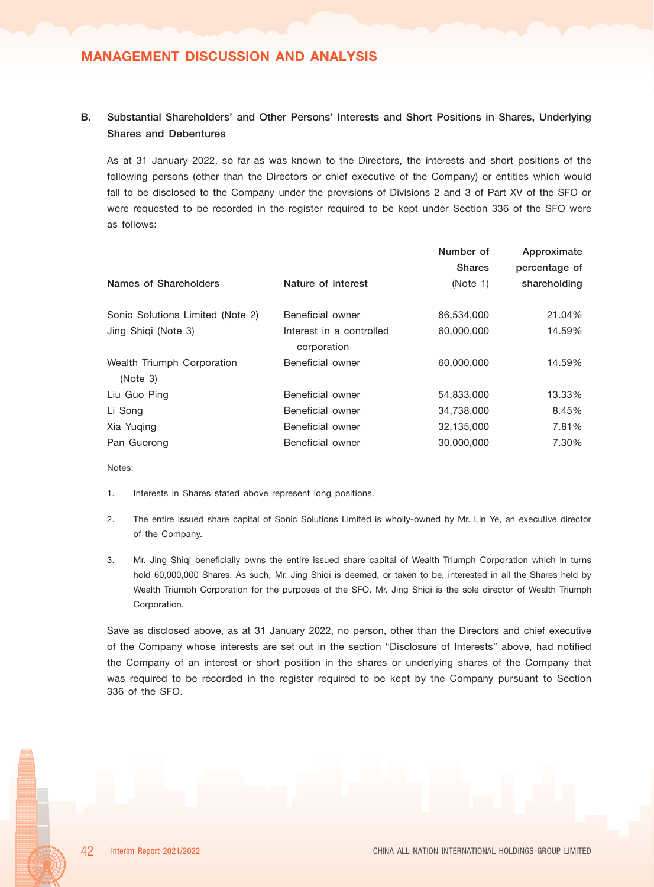# MANAGEMENT DISCUSSION AND ANALYSIS

## B. Substantial Shareholders' and Other Persons' Interests and Short Positions in Shares, Underlying Shares and Debentures

As at 31 January 2022, so far as was known to the Directors, the interests and short positions of the following persons (other than the Directors or chief executive of the Company) or entities which would fall to be disclosed to the Company under the provisions of Divisions 2 and 3 of Part XV of the SFO or were requested to be recorded in the register required to be kept under Section 336 of the SFO were as follows:

|                                        |                                         | Number of<br><b>Shares</b> | Approximate<br>percentage of |
|----------------------------------------|-----------------------------------------|----------------------------|------------------------------|
| Names of Shareholders                  | Nature of interest                      | (Note 1)                   | shareholding                 |
| Sonic Solutions Limited (Note 2)       | Beneficial owner                        | 86,534,000                 | 21.04%                       |
| Jing Shiqi (Note 3)                    | Interest in a controlled<br>corporation | 60,000,000                 | 14.59%                       |
| Wealth Triumph Corporation<br>(Note 3) | Beneficial owner                        | 60,000,000                 | 14.59%                       |
| Liu Guo Ping                           | Beneficial owner                        | 54,833,000                 | 13.33%                       |
| Li Song                                | Beneficial owner                        | 34,738,000                 | 8.45%                        |
| Xia Yuging                             | Beneficial owner                        | 32,135,000                 | 7.81%                        |
| Pan Guorong                            | Beneficial owner                        | 30,000,000                 | 7.30%                        |

Notes:

- 1. Interests in Shares stated above represent long positions.
- 2. The entire issued share capital of Sonic Solutions Limited is wholly-owned by Mr. Lin Ye, an executive director of the Company.
- 3. Mr. Jing Shiqi beneficially owns the entire issued share capital of Wealth Triumph Corporation which in turns hold 60,000,000 Shares. As such, Mr. Jing Shiqi is deemed, or taken to be, interested in all the Shares held by Wealth Triumph Corporation for the purposes of the SFO. Mr. Jing Shiqi is the sole director of Wealth Triumph Corporation.

Save as disclosed above, as at 31 January 2022, no person, other than the Directors and chief executive of the Company whose interests are set out in the section "Disclosure of Interests" above, had notified the Company of an interest or short position in the shares or underlying shares of the Company that was required to be recorded in the register required to be kept by the Company pursuant to Section 336 of the SFO.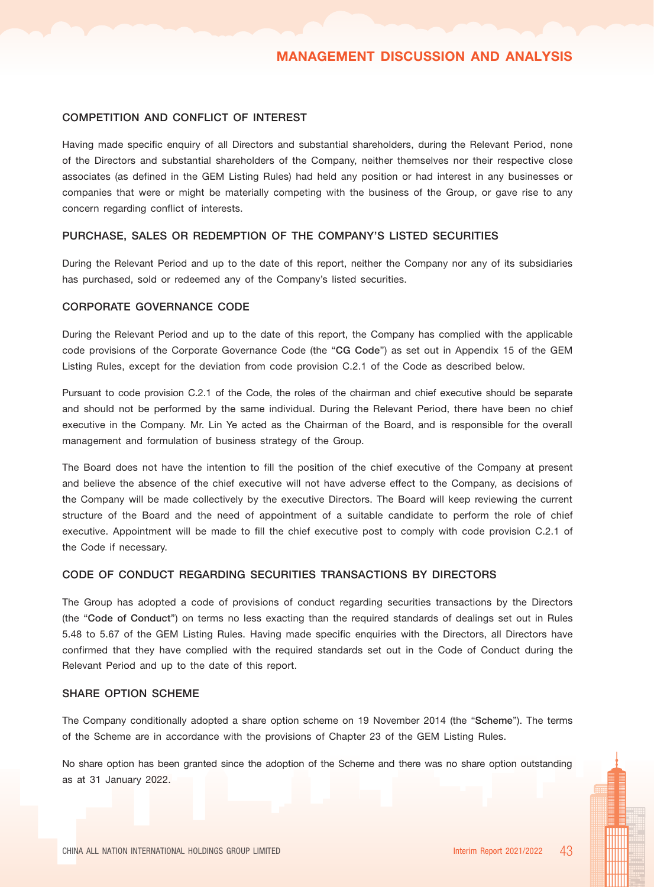#### COMPETITION AND CONFLICT OF INTEREST

Having made specific enquiry of all Directors and substantial shareholders, during the Relevant Period, none of the Directors and substantial shareholders of the Company, neither themselves nor their respective close associates (as defined in the GEM Listing Rules) had held any position or had interest in any businesses or companies that were or might be materially competing with the business of the Group, or gave rise to any concern regarding conflict of interests.

#### PURCHASE, SALES OR REDEMPTION OF THE COMPANY'S LISTED SECURITIES

During the Relevant Period and up to the date of this report, neither the Company nor any of its subsidiaries has purchased, sold or redeemed any of the Company's listed securities.

#### CORPORATE GOVERNANCE CODE

During the Relevant Period and up to the date of this report, the Company has complied with the applicable code provisions of the Corporate Governance Code (the "CG Code") as set out in Appendix 15 of the GEM Listing Rules, except for the deviation from code provision C.2.1 of the Code as described below.

Pursuant to code provision C.2.1 of the Code, the roles of the chairman and chief executive should be separate and should not be performed by the same individual. During the Relevant Period, there have been no chief executive in the Company. Mr. Lin Ye acted as the Chairman of the Board, and is responsible for the overall management and formulation of business strategy of the Group.

The Board does not have the intention to fill the position of the chief executive of the Company at present and believe the absence of the chief executive will not have adverse effect to the Company, as decisions of the Company will be made collectively by the executive Directors. The Board will keep reviewing the current structure of the Board and the need of appointment of a suitable candidate to perform the role of chief executive. Appointment will be made to fill the chief executive post to comply with code provision C.2.1 of the Code if necessary.

## CODE OF CONDUCT REGARDING SECURITIES TRANSACTIONS BY DIRECTORS

The Group has adopted a code of provisions of conduct regarding securities transactions by the Directors (the "Code of Conduct") on terms no less exacting than the required standards of dealings set out in Rules 5.48 to 5.67 of the GEM Listing Rules. Having made specific enquiries with the Directors, all Directors have confirmed that they have complied with the required standards set out in the Code of Conduct during the Relevant Period and up to the date of this report.

#### SHARE OPTION SCHEME

The Company conditionally adopted a share option scheme on 19 November 2014 (the "Scheme"). The terms of the Scheme are in accordance with the provisions of Chapter 23 of the GEM Listing Rules.

No share option has been granted since the adoption of the Scheme and there was no share option outstanding as at 31 January 2022.